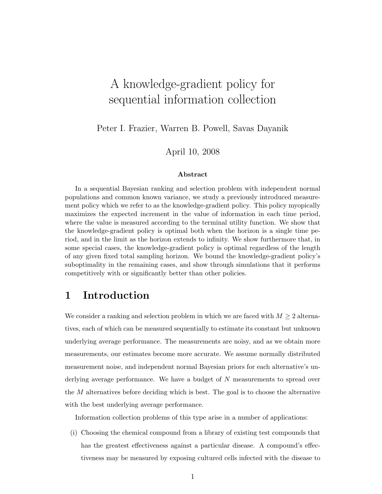# A knowledge-gradient policy for sequential information collection

Peter I. Frazier, Warren B. Powell, Savas Dayanik

April 10, 2008

#### Abstract

In a sequential Bayesian ranking and selection problem with independent normal populations and common known variance, we study a previously introduced measurement policy which we refer to as the knowledge-gradient policy. This policy myopically maximizes the expected increment in the value of information in each time period, where the value is measured according to the terminal utility function. We show that the knowledge-gradient policy is optimal both when the horizon is a single time period, and in the limit as the horizon extends to infinity. We show furthermore that, in some special cases, the knowledge-gradient policy is optimal regardless of the length of any given fixed total sampling horizon. We bound the knowledge-gradient policy's suboptimality in the remaining cases, and show through simulations that it performs competitively with or significantly better than other policies.

# 1 Introduction

We consider a ranking and selection problem in which we are faced with  $M \geq 2$  alternatives, each of which can be measured sequentially to estimate its constant but unknown underlying average performance. The measurements are noisy, and as we obtain more measurements, our estimates become more accurate. We assume normally distributed measurement noise, and independent normal Bayesian priors for each alternative's underlying average performance. We have a budget of N measurements to spread over the  $M$  alternatives before deciding which is best. The goal is to choose the alternative with the best underlying average performance.

Information collection problems of this type arise in a number of applications:

(i) Choosing the chemical compound from a library of existing test compounds that has the greatest effectiveness against a particular disease. A compound's effectiveness may be measured by exposing cultured cells infected with the disease to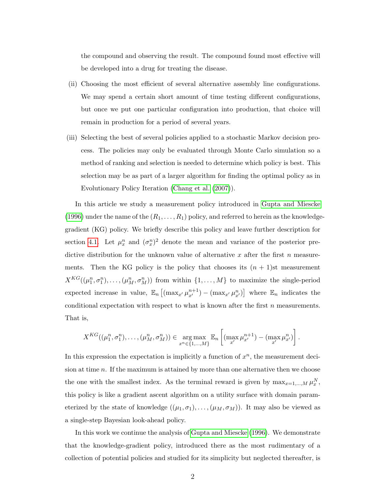<span id="page-1-0"></span>the compound and observing the result. The compound found most effective will be developed into a drug for treating the disease.

- (ii) Choosing the most efficient of several alternative assembly line configurations. We may spend a certain short amount of time testing different configurations, but once we put one particular configuration into production, that choice will remain in production for a period of several years.
- (iii) Selecting the best of several policies applied to a stochastic Markov decision process. The policies may only be evaluated through Monte Carlo simulation so a method of ranking and selection is needed to determine which policy is best. This selection may be as part of a larger algorithm for finding the optimal policy as in Evolutionary Policy Iteration [\(Chang et al.](#page-40-0) [\(2007\)](#page-40-0)).

In this article we study a measurement policy introduced in [Gupta and Miescke](#page-42-0) [\(1996\)](#page-42-0) under the name of the  $(R_1, \ldots, R_1)$  policy, and referred to herein as the knowledgegradient (KG) policy. We briefly describe this policy and leave further description for section [4.1.](#page-12-0) Let  $\mu_x^n$  and  $(\sigma_x^n)^2$  denote the mean and variance of the posterior predictive distribution for the unknown value of alternative  $x$  after the first  $n$  measurements. Then the KG policy is the policy that chooses its  $(n + 1)$ st measurement  $X^{KG}((\mu_1^n, \sigma_1^n), \ldots, (\mu_M^n, \sigma_M^n))$  from within  $\{1, \ldots, M\}$  to maximize the single-period expected increase in value,  $\mathbb{E}_n \left[ \left( \max_{x'} \mu_{x'}^{n+1} \right) - \left( \max_{x'} \mu_{x'}^{n} \right) \right]$  where  $\mathbb{E}_n$  indicates the conditional expectation with respect to what is known after the first  $n$  measurements. That is,

$$
X^{KG}((\mu_1^n, \sigma_1^n), \ldots, (\mu_M^n, \sigma_M^n)) \in \underset{x^n \in \{1, \ldots, M\}}{\arg \max} \mathbb{E}_n \left[ (\max_{x'} \mu_{x'}^{n+1}) - (\max_{x'} \mu_{x'}^n) \right].
$$

In this expression the expectation is implicitly a function of  $x^n$ , the measurement decision at time n. If the maximum is attained by more than one alternative then we choose the one with the smallest index. As the terminal reward is given by  $\max_{x=1,\dots,M} \mu_x^N$ , this policy is like a gradient ascent algorithm on a utility surface with domain parameterized by the state of knowledge  $((\mu_1, \sigma_1), \ldots, (\mu_M, \sigma_M))$ . It may also be viewed as a single-step Bayesian look-ahead policy.

In this work we continue the analysis of [Gupta and Miescke](#page-42-0) [\(1996\)](#page-42-0). We demonstrate that the knowledge-gradient policy, introduced there as the most rudimentary of a collection of potential policies and studied for its simplicity but neglected thereafter, is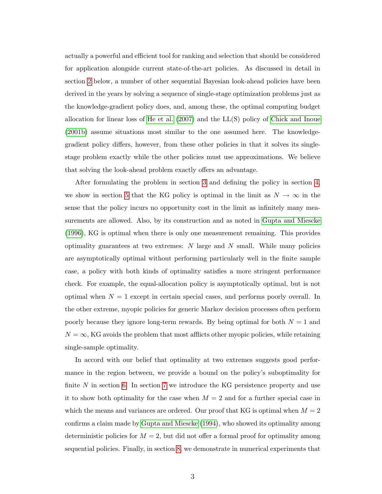<span id="page-2-0"></span>actually a powerful and efficient tool for ranking and selection that should be considered for application alongside current state-of-the-art policies. As discussed in detail in section [2](#page-3-0) below, a number of other sequential Bayesian look-ahead policies have been derived in the years by solving a sequence of single-stage optimization problems just as the knowledge-gradient policy does, and, among these, the optimal computing budget allocation for linear loss of [He et al.](#page-42-1) [\(2007\)](#page-42-1) and the LL(S) policy of [Chick and Inoue](#page-41-0) [\(2001b\)](#page-41-0) assume situations most similar to the one assumed here. The knowledgegradient policy differs, however, from these other policies in that it solves its singlestage problem exactly while the other policies must use approximations. We believe that solving the look-ahead problem exactly offers an advantage.

After formulating the problem in section [3](#page-5-0) and defining the policy in section [4,](#page-11-0) we show in section [5](#page-16-0) that the KG policy is optimal in the limit as  $N \to \infty$  in the sense that the policy incurs no opportunity cost in the limit as infinitely many measurements are allowed. Also, by its construction and as noted in [Gupta and Miescke](#page-42-0) [\(1996\)](#page-42-0), KG is optimal when there is only one measurement remaining. This provides optimality guarantees at two extremes:  $N$  large and  $N$  small. While many policies are asymptotically optimal without performing particularly well in the finite sample case, a policy with both kinds of optimality satisfies a more stringent performance check. For example, the equal-allocation policy is asymptotically optimal, but is not optimal when  $N = 1$  except in certain special cases, and performs poorly overall. In the other extreme, myopic policies for generic Markov decision processes often perform poorly because they ignore long-term rewards. By being optimal for both  $N = 1$  and  $N = \infty$ , KG avoids the problem that most afflicts other myopic policies, while retaining single-sample optimality.

In accord with our belief that optimality at two extremes suggests good performance in the region between, we provide a bound on the policy's suboptimality for finite  $N$  in section [6.](#page-18-0) In section [7](#page-19-0) we introduce the KG persistence property and use it to show both optimality for the case when  $M = 2$  and for a further special case in which the means and variances are ordered. Our proof that KG is optimal when  $M = 2$ confirms a claim made by [Gupta and Miescke](#page-41-1) [\(1994\)](#page-41-1), who showed its optimality among deterministic policies for  $M = 2$ , but did not offer a formal proof for optimality among sequential policies. Finally, in section [8,](#page-23-0) we demonstrate in numerical experiments that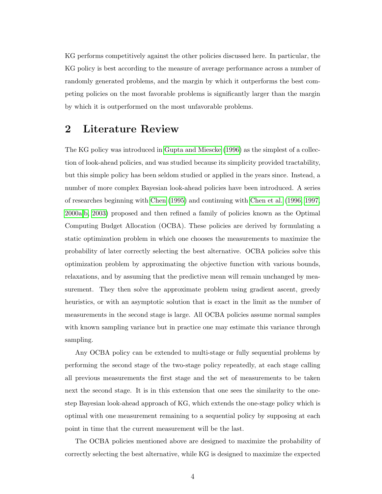<span id="page-3-1"></span>KG performs competitively against the other policies discussed here. In particular, the KG policy is best according to the measure of average performance across a number of randomly generated problems, and the margin by which it outperforms the best competing policies on the most favorable problems is significantly larger than the margin by which it is outperformed on the most unfavorable problems.

## <span id="page-3-0"></span>2 Literature Review

The KG policy was introduced in [Gupta and Miescke](#page-42-0) [\(1996\)](#page-42-0) as the simplest of a collection of look-ahead policies, and was studied because its simplicity provided tractability, but this simple policy has been seldom studied or applied in the years since. Instead, a number of more complex Bayesian look-ahead policies have been introduced. A series of researches beginning with [Chen](#page-40-1) [\(1995\)](#page-40-1) and continuing with [Chen et al.](#page-40-2) [\(1996,](#page-40-2) [1997,](#page-41-2) [2000a](#page-41-3)[,b,](#page-41-4) [2003\)](#page-41-5) proposed and then refined a family of policies known as the Optimal Computing Budget Allocation (OCBA). These policies are derived by formulating a static optimization problem in which one chooses the measurements to maximize the probability of later correctly selecting the best alternative. OCBA policies solve this optimization problem by approximating the objective function with various bounds, relaxations, and by assuming that the predictive mean will remain unchanged by measurement. They then solve the approximate problem using gradient ascent, greedy heuristics, or with an asymptotic solution that is exact in the limit as the number of measurements in the second stage is large. All OCBA policies assume normal samples with known sampling variance but in practice one may estimate this variance through sampling.

Any OCBA policy can be extended to multi-stage or fully sequential problems by performing the second stage of the two-stage policy repeatedly, at each stage calling all previous measurements the first stage and the set of measurements to be taken next the second stage. It is in this extension that one sees the similarity to the onestep Bayesian look-ahead approach of KG, which extends the one-stage policy which is optimal with one measurement remaining to a sequential policy by supposing at each point in time that the current measurement will be the last.

The OCBA policies mentioned above are designed to maximize the probability of correctly selecting the best alternative, while KG is designed to maximize the expected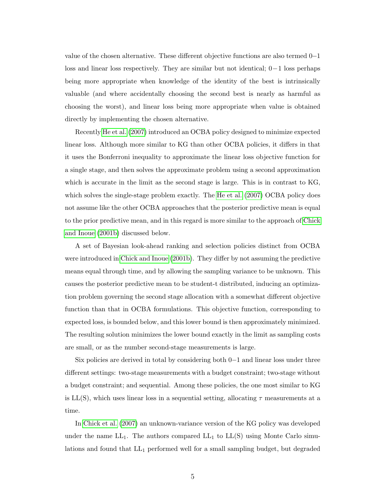<span id="page-4-0"></span>value of the chosen alternative. These different objective functions are also termed 0−1 loss and linear loss respectively. They are similar but not identical; 0−1 loss perhaps being more appropriate when knowledge of the identity of the best is intrinsically valuable (and where accidentally choosing the second best is nearly as harmful as choosing the worst), and linear loss being more appropriate when value is obtained directly by implementing the chosen alternative.

Recently [He et al.](#page-42-1) [\(2007\)](#page-42-1) introduced an OCBA policy designed to minimize expected linear loss. Although more similar to KG than other OCBA policies, it differs in that it uses the Bonferroni inequality to approximate the linear loss objective function for a single stage, and then solves the approximate problem using a second approximation which is accurate in the limit as the second stage is large. This is in contrast to KG, which solves the single-stage problem exactly. The [He et al.](#page-42-1) [\(2007\)](#page-42-1) OCBA policy does not assume like the other OCBA approaches that the posterior predictive mean is equal to the prior predictive mean, and in this regard is more similar to the approach of [Chick](#page-41-0) [and Inoue](#page-41-0) [\(2001b\)](#page-41-0) discussed below.

A set of Bayesian look-ahead ranking and selection policies distinct from OCBA were introduced in [Chick and Inoue](#page-41-0) [\(2001b\)](#page-41-0). They differ by not assuming the predictive means equal through time, and by allowing the sampling variance to be unknown. This causes the posterior predictive mean to be student-t distributed, inducing an optimization problem governing the second stage allocation with a somewhat different objective function than that in OCBA formulations. This objective function, corresponding to expected loss, is bounded below, and this lower bound is then approximately minimized. The resulting solution minimizes the lower bound exactly in the limit as sampling costs are small, or as the number second-stage measurements is large.

Six policies are derived in total by considering both 0−1 and linear loss under three different settings: two-stage measurements with a budget constraint; two-stage without a budget constraint; and sequential. Among these policies, the one most similar to KG is LL(S), which uses linear loss in a sequential setting, allocating  $\tau$  measurements at a time.

In [Chick et al.](#page-41-6) [\(2007\)](#page-41-6) an unknown-variance version of the KG policy was developed under the name  $LL_1$ . The authors compared  $LL_1$  to  $LL(S)$  using Monte Carlo simulations and found that  $LL_1$  performed well for a small sampling budget, but degraded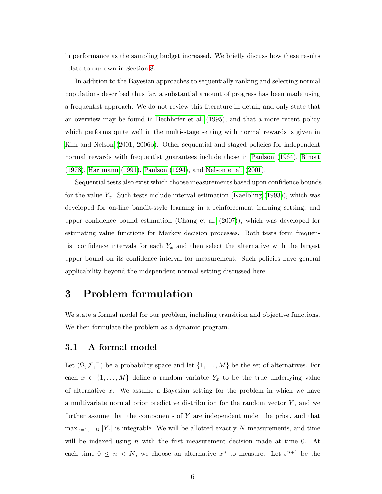<span id="page-5-2"></span>in performance as the sampling budget increased. We briefly discuss how these results relate to our own in Section [8.](#page-23-0)

In addition to the Bayesian approaches to sequentially ranking and selecting normal populations described thus far, a substantial amount of progress has been made using a frequentist approach. We do not review this literature in detail, and only state that an overview may be found in [Bechhofer et al.](#page-40-3) [\(1995\)](#page-40-3), and that a more recent policy which performs quite well in the multi-stage setting with normal rewards is given in [Kim and Nelson](#page-42-2) [\(2001,](#page-42-2) [2006b\)](#page-42-3). Other sequential and staged policies for independent normal rewards with frequentist guarantees include those in [Paulson](#page-42-4) [\(1964\)](#page-42-4), [Rinott](#page-43-0) [\(1978\)](#page-43-0), [Hartmann](#page-42-5) [\(1991\)](#page-42-5), [Paulson](#page-42-6) [\(1994\)](#page-42-6), and [Nelson et al.](#page-42-7) [\(2001\)](#page-42-7).

Sequential tests also exist which choose measurements based upon confidence bounds for the value  $Y_x$ . Such tests include interval estimation [\(Kaelbling](#page-42-8) [\(1993\)](#page-42-8)), which was developed for on-line bandit-style learning in a reinforcement learning setting, and upper confidence bound estimation [\(Chang et al.](#page-40-0) [\(2007\)](#page-40-0)), which was developed for estimating value functions for Markov decision processes. Both tests form frequentist confidence intervals for each  $Y_x$  and then select the alternative with the largest upper bound on its confidence interval for measurement. Such policies have general applicability beyond the independent normal setting discussed here.

### <span id="page-5-0"></span>3 Problem formulation

We state a formal model for our problem, including transition and objective functions. We then formulate the problem as a dynamic program.

### <span id="page-5-1"></span>3.1 A formal model

Let  $(\Omega, \mathcal{F}, \mathbb{P})$  be a probability space and let  $\{1, \ldots, M\}$  be the set of alternatives. For each  $x \in \{1, ..., M\}$  define a random variable  $Y_x$  to be the true underlying value of alternative  $x$ . We assume a Bayesian setting for the problem in which we have a multivariate normal prior predictive distribution for the random vector  $Y$ , and we further assume that the components of Y are independent under the prior, and that  $\max_{x=1,\dots,M} |Y_x|$  is integrable. We will be allotted exactly N measurements, and time will be indexed using n with the first measurement decision made at time  $0$ . At each time  $0 \leq n \leq N$ , we choose an alternative  $x^n$  to measure. Let  $\varepsilon^{n+1}$  be the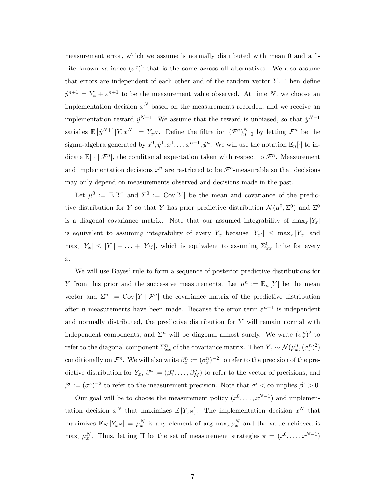measurement error, which we assume is normally distributed with mean 0 and a finite known variance  $(\sigma^{\varepsilon})^2$  that is the same across all alternatives. We also assume that errors are independent of each other and of the random vector  $Y$ . Then define  $\hat{y}^{n+1} = Y_x + \varepsilon^{n+1}$  to be the measurement value observed. At time N, we choose an implementation decision  $x^N$  based on the measurements recorded, and we receive an implementation reward  $\hat{y}^{N+1}$ . We assume that the reward is unbiased, so that  $\hat{y}^{N+1}$ satisfies  $\mathbb{E}[\hat{y}^{N+1}|Y,x^N] = Y_{x^N}$ . Define the filtration  $(\mathcal{F}^n)_{n=0}^N$  by letting  $\mathcal{F}^n$  be the sigma-algebra generated by  $x^0, \hat{y}^1, x^1, \ldots x^{n-1}, \hat{y}^n$ . We will use the notation  $\mathbb{E}_n[\cdot]$  to indicate  $\mathbb{E}[\cdot | \mathcal{F}^n]$ , the conditional expectation taken with respect to  $\mathcal{F}^n$ . Measurement and implementation decisions  $x^n$  are restricted to be  $\mathcal{F}^n$ -measurable so that decisions may only depend on measurements observed and decisions made in the past.

Let  $\mu^0 := \mathbb{E}[Y]$  and  $\Sigma^0 := \text{Cov}[Y]$  be the mean and covariance of the predictive distribution for Y so that Y has prior predictive distribution  $\mathcal{N}(\mu^0, \Sigma^0)$  and  $\Sigma^0$ is a diagonal covariance matrix. Note that our assumed integrability of  $\max_x |Y_x|$ is equivalent to assuming integrability of every  $Y_x$  because  $|Y_{x'}| \leq \max_x |Y_x|$  and  $\max_x |Y_x| \leq |Y_1| + \ldots + |Y_M|$ , which is equivalent to assuming  $\Sigma_{xx}^0$  finite for every  $x$ .

We will use Bayes' rule to form a sequence of posterior predictive distributions for Y from this prior and the successive measurements. Let  $\mu^n := \mathbb{E}_n[Y]$  be the mean vector and  $\Sigma^n := \text{Cov}[Y | \mathcal{F}^n]$  the covariance matrix of the predictive distribution after *n* measurements have been made. Because the error term  $\varepsilon^{n+1}$  is independent and normally distributed, the predictive distribution for  $Y$  will remain normal with independent components, and  $\Sigma<sup>n</sup>$  will be diagonal almost surely. We write  $(\sigma_x^n)^2$  to refer to the diagonal component  $\Sigma_{xx}^n$  of the covariance matrix. Then  $Y_x \sim \mathcal{N}(\mu_x^n, (\sigma_x^n)^2)$ conditionally on  $\mathcal{F}^n$ . We will also write  $\beta_x^n := (\sigma_x^n)^{-2}$  to refer to the precision of the predictive distribution for  $Y_x$ ,  $\beta^n := (\beta_1^n, \dots, \beta_M^n)$  to refer to the vector of precisions, and  $\beta^{\epsilon} := (\sigma^{\epsilon})^{-2}$  to refer to the measurement precision. Note that  $\sigma^{\epsilon} < \infty$  implies  $\beta^{\epsilon} > 0$ .

Our goal will be to choose the measurement policy  $(x^0, \ldots, x^{N-1})$  and implementation decision  $x^N$  that maximizes  $\mathbb{E}[Y_{x^N}]$ . The implementation decision  $x^N$  that maximizes  $\mathbb{E}_N[Y_{x^N}] = \mu_x^N$  is any element of  $\arg \max_x \mu_x^N$  and the value achieved is  $\max_x \mu_x^N$ . Thus, letting  $\Pi$  be the set of measurement strategies  $\pi = (x^0, \ldots, x^{N-1})$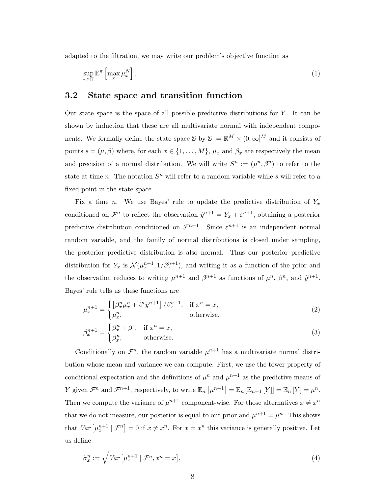adapted to the filtration, we may write our problem's objective function as

<span id="page-7-0"></span>
$$
\sup_{\pi \in \Pi} \mathbb{E}^{\pi} \left[ \max_{x} \mu_x^N \right]. \tag{1}
$$

#### 3.2 State space and transition function

Our state space is the space of all possible predictive distributions for  $Y$ . It can be shown by induction that these are all multivariate normal with independent components. We formally define the state space S by  $\mathbb{S} := \mathbb{R}^M \times (0, \infty]^M$  and it consists of points  $s = (\mu, \beta)$  where, for each  $x \in \{1, ..., M\}$ ,  $\mu_x$  and  $\beta_x$  are respectively the mean and precision of a normal distribution. We will write  $S^n := (\mu^n, \beta^n)$  to refer to the state at time n. The notation  $S<sup>n</sup>$  will refer to a random variable while s will refer to a fixed point in the state space.

Fix a time *n*. We use Bayes' rule to update the predictive distribution of  $Y_x$ conditioned on  $\mathcal{F}^n$  to reflect the observation  $\hat{y}^{n+1} = Y_x + \varepsilon^{n+1}$ , obtaining a posterior predictive distribution conditioned on  $\mathcal{F}^{n+1}$ . Since  $\varepsilon^{n+1}$  is an independent normal random variable, and the family of normal distributions is closed under sampling, the posterior predictive distribution is also normal. Thus our posterior predictive distribution for  $Y_x$  is  $\mathcal{N}(\mu_x^{n+1}, 1/\beta_x^{n+1})$ , and writing it as a function of the prior and the observation reduces to writing  $\mu^{n+1}$  and  $\beta^{n+1}$  as functions of  $\mu^n$ ,  $\beta^n$ , and  $\hat{y}^{n+1}$ . Bayes' rule tells us these functions are

$$
\mu_x^{n+1} = \begin{cases}\n\left[\beta_x^n \mu_x^n + \beta^\epsilon \hat{y}^{n+1}\right] / \beta_x^{n+1}, & \text{if } x^n = x, \\
\mu_x^n, & \text{otherwise,} \n\end{cases}
$$
\n(2)

$$
\beta_x^{n+1} = \begin{cases} \beta_x^n + \beta^{\epsilon}, & \text{if } x^n = x, \\ \beta_x^n, & \text{otherwise.} \end{cases}
$$
 (3)

Conditionally on  $\mathcal{F}^n$ , the random variable  $\mu^{n+1}$  has a multivariate normal distribution whose mean and variance we can compute. First, we use the tower property of conditional expectation and the definitions of  $\mu^n$  and  $\mu^{n+1}$  as the predictive means of Y given  $\mathcal{F}^n$  and  $\mathcal{F}^{n+1}$ , respectively, to write  $\mathbb{E}_n \left[ \mu^{n+1} \right] = \mathbb{E}_n \left[ \mathbb{E}_{n+1} \left[ Y \right] \right] = \mathbb{E}_n \left[ Y \right] = \mu^n$ . Then we compute the variance of  $\mu^{n+1}$  component-wise. For those alternatives  $x \neq x^n$ that we do not measure, our posterior is equal to our prior and  $\mu^{n+1} = \mu^n$ . This shows that  $Var\left[\mu_x^{n+1} \mid \mathcal{F}^n\right] = 0$  if  $x \neq x^n$ . For  $x = x^n$  this variance is generally positive. Let us define

$$
\tilde{\sigma}_x^n := \sqrt{Var\left[\mu_x^{n+1} \mid \mathcal{F}^n, x^n = x\right]},\tag{4}
$$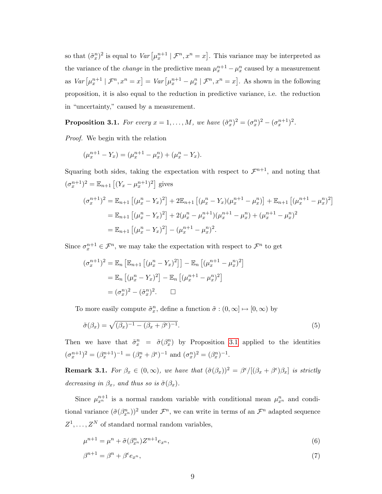so that  $(\tilde{\sigma}_x^n)^2$  is equal to  $Var\left[\mu_x^{n+1} \mid \mathcal{F}^n, x^n = x\right]$ . This variance may be interpreted as the variance of the *change* in the predictive mean  $\mu_x^{n+1} - \mu_x^n$  caused by a measurement as  $Var\left[\mu_x^{n+1} \mid \mathcal{F}^n, x^n = x\right] = Var\left[\mu_x^{n+1} - \mu_x^n \mid \mathcal{F}^n, x^n = x\right]$ . As shown in the following proposition, it is also equal to the reduction in predictive variance, i.e. the reduction in "uncertainty," caused by a measurement.

<span id="page-8-0"></span>**Proposition 3.1.** For every  $x = 1, ..., M$ , we have  $(\tilde{\sigma}_x^n)^2 = (\sigma_x^n)^2 - (\sigma_x^{n+1})^2$ .

Proof. We begin with the relation

$$
(\mu_x^{n+1} - Y_x) = (\mu_x^{n+1} - \mu_x^n) + (\mu_x^n - Y_x).
$$

Squaring both sides, taking the expectation with respect to  $\mathcal{F}^{n+1}$ , and noting that  $(\sigma_x^{n+1})^2 = \mathbb{E}_{n+1} [(Y_x - \mu_x^{n+1})^2]$  gives  $n+1$ n 2 n  $n+1$ n  $n+1$ n

$$
(\sigma_x^{n+1})^2 = \mathbb{E}_{n+1} [(\mu_x^n - Y_x)^2] + 2\mathbb{E}_{n+1} [(\mu_x^n - Y_x)(\mu_x^{n+1} - \mu_x^n)] + \mathbb{E}_{n+1} [(\mu_x^{n+1} - \mu_x^n)^2]
$$
  
=  $\mathbb{E}_{n+1} [(\mu_x^n - Y_x)^2] + 2(\mu_x^n - \mu_x^{n+1})(\mu_x^{n+1} - \mu_x^n) + (\mu_x^{n+1} - \mu_x^n)^2$   
=  $\mathbb{E}_{n+1} [(\mu_x^n - Y_x)^2] - (\mu_x^{n+1} - \mu_x^n)^2$ .

Since  $\sigma_x^{n+1} \in \mathcal{F}^n$ , we may take the expectation with respect to  $\mathcal{F}^n$  to get

$$
(\sigma_x^{n+1})^2 = \mathbb{E}_n [\mathbb{E}_{n+1} [(\mu_x^n - Y_x)^2]] - \mathbb{E}_n [(\mu_x^{n+1} - \mu_x^n)^2]
$$
  
=  $\mathbb{E}_n [(\mu_x^n - Y_x)^2] - \mathbb{E}_n [(\mu_x^{n+1} - \mu_x^n)^2]$   
=  $(\sigma_x^n)^2 - (\tilde{\sigma}_x^n)^2$ .  $\square$ 

To more easily compute  $\tilde{\sigma}_x^n$ , define a function  $\tilde{\sigma} : (0, \infty] \mapsto [0, \infty)$  by

$$
\tilde{\sigma}(\beta_x) = \sqrt{(\beta_x)^{-1} - (\beta_x + \beta^{\epsilon})^{-1}}.
$$
\n(5)

Then we have that  $\tilde{\sigma}_x^n = \tilde{\sigma}(\beta_x^n)$  by Proposition [3.1](#page-8-0) applied to the identities  $(\sigma_x^{n+1})^2 = (\beta_x^{n+1})^{-1} = (\beta_x^n + \beta^{\epsilon})^{-1}$  and  $(\sigma_x^n)^2 = (\beta_x^n)^{-1}$ .

<span id="page-8-1"></span>**Remark 3.1.** For  $\beta_x \in (0, \infty)$ , we have that  $(\tilde{\sigma}(\beta_x))^2 = \beta^{\epsilon}/[(\beta_x + \beta^{\epsilon})\beta_x]$  is strictly decreasing in  $\beta_x$ , and thus so is  $\tilde{\sigma}(\beta_x)$ .

Since  $\mu_{x}^{n+1}$  is a normal random variable with conditional mean  $\mu_{x}^{n}$  and conditional variance  $(\tilde{\sigma}(\beta_{x}^{n}))^{2}$  under  $\mathcal{F}^{n}$ , we can write in terms of an  $\mathcal{F}^{n}$  adapted sequence  $Z^1, \ldots, Z^N$  of standard normal random variables,

$$
\mu^{n+1} = \mu^n + \tilde{\sigma}(\beta_{x^n}^n) Z^{n+1} e_{x^n}, \tag{6}
$$

$$
\beta^{n+1} = \beta^n + \beta^{\epsilon} e_{x^n},\tag{7}
$$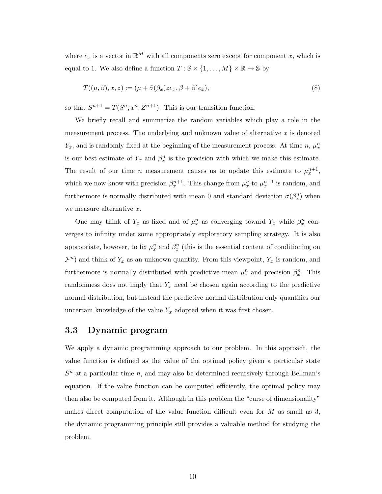where  $e_x$  is a vector in  $\mathbb{R}^M$  with all components zero except for component x, which is equal to 1. We also define a function  $T : \mathbb{S} \times \{1, \ldots, M\} \times \mathbb{R} \mapsto \mathbb{S}$  by

<span id="page-9-0"></span>
$$
T((\mu,\beta),x,z) := (\mu + \tilde{\sigma}(\beta_x)ze_x, \beta + \beta^{\epsilon}e_x),
$$
\n(8)

so that  $S^{n+1} = T(S^n, x^n, Z^{n+1})$ . This is our transition function.

We briefly recall and summarize the random variables which play a role in the measurement process. The underlying and unknown value of alternative  $x$  is denoted  $Y_x$ , and is randomly fixed at the beginning of the measurement process. At time n,  $\mu_x^n$ is our best estimate of  $Y_x$  and  $\beta_x^n$  is the precision with which we make this estimate. The result of our time *n* measurement causes us to update this estimate to  $\mu_x^{n+1}$ , which we now know with precision  $\beta_x^{n+1}$ . This change from  $\mu_x^n$  to  $\mu_x^{n+1}$  is random, and furthermore is normally distributed with mean 0 and standard deviation  $\tilde{\sigma}(\beta_x^n)$  when we measure alternative x.

One may think of  $Y_x$  as fixed and of  $\mu_x^n$  as converging toward  $Y_x$  while  $\beta_x^n$  converges to infinity under some appropriately exploratory sampling strategy. It is also appropriate, however, to fix  $\mu_x^n$  and  $\beta_x^n$  (this is the essential content of conditioning on  $\mathcal{F}^n$ ) and think of  $Y_x$  as an unknown quantity. From this viewpoint,  $Y_x$  is random, and furthermore is normally distributed with predictive mean  $\mu_x^n$  and precision  $\beta_x^n$ . This randomness does not imply that  $Y_x$  need be chosen again according to the predictive normal distribution, but instead the predictive normal distribution only quantifies our uncertain knowledge of the value  $Y_x$  adopted when it was first chosen.

### 3.3 Dynamic program

We apply a dynamic programming approach to our problem. In this approach, the value function is defined as the value of the optimal policy given a particular state  $S<sup>n</sup>$  at a particular time n, and may also be determined recursively through Bellman's equation. If the value function can be computed efficiently, the optimal policy may then also be computed from it. Although in this problem the "curse of dimensionality" makes direct computation of the value function difficult even for  $M$  as small as 3, the dynamic programming principle still provides a valuable method for studying the problem.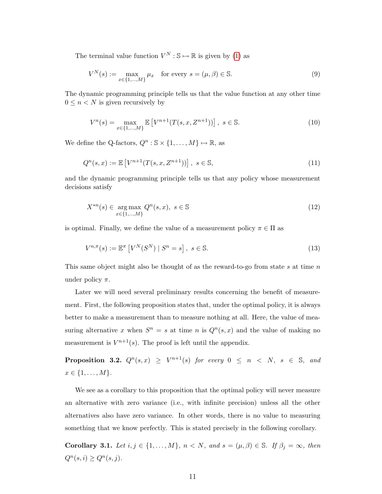The terminal value function  $V^N : \mathbb{S} \mapsto \mathbb{R}$  is given by [\(1\)](#page-7-0) as

$$
V^N(s) := \max_{x \in \{1, \dots, M\}} \mu_x \quad \text{for every } s = (\mu, \beta) \in \mathbb{S}.
$$
 (9)

The dynamic programming principle tells us that the value function at any other time  $0 \leq n < N$  is given recursively by

<span id="page-10-5"></span><span id="page-10-4"></span>
$$
V^{n}(s) = \max_{x \in \{1, \dots, M\}} \mathbb{E}\left[V^{n+1}(T(s, x, Z^{n+1}))\right], \ s \in \mathbb{S}.
$$
 (10)

We define the Q-factors,  $Q^n : \mathbb{S} \times \{1, ..., M\} \mapsto \mathbb{R}$ , as

$$
Q^{n}(s,x) := \mathbb{E}\left[V^{n+1}(T(s,x,Z^{n+1}))\right], \ s \in \mathbb{S},\tag{11}
$$

and the dynamic programming principle tells us that any policy whose measurement decisions satisfy

<span id="page-10-1"></span>
$$
X^{*n}(s) \in \underset{x \in \{1, \dots, M\}}{\text{arg max}} Q^n(s, x), \ s \in \mathbb{S}
$$
\n
$$
(12)
$$

is optimal. Finally, we define the value of a measurement policy  $\pi \in \Pi$  as

<span id="page-10-2"></span>
$$
V^{n,\pi}(s) := \mathbb{E}^{\pi} \left[ V^N(S^N) \mid S^n = s \right], \ s \in \mathbb{S}.
$$
\n
$$
(13)
$$

This same object might also be thought of as the reward-to-go from state s at time  $n$ under policy  $\pi$ .

Later we will need several preliminary results concerning the benefit of measurement. First, the following proposition states that, under the optimal policy, it is always better to make a measurement than to measure nothing at all. Here, the value of measuring alternative x when  $S^n = s$  at time n is  $Q^n(s, x)$  and the value of making no measurement is  $V^{n+1}(s)$ . The proof is left until the appendix.

<span id="page-10-0"></span>**Proposition 3.2.**  $Q^n(s,x) \geq V^{n+1}(s)$  for every  $0 \leq n \leq N$ ,  $s \in \mathbb{S}$ , and  $x \in \{1, ..., M\}.$ 

We see as a corollary to this proposition that the optimal policy will never measure an alternative with zero variance (i.e., with infinite precision) unless all the other alternatives also have zero variance. In other words, there is no value to measuring something that we know perfectly. This is stated precisely in the following corollary.

<span id="page-10-3"></span>Corollary 3.1. Let  $i, j \in \{1, ..., M\}$ ,  $n < N$ , and  $s = (\mu, \beta) \in \mathbb{S}$ . If  $\beta_j = \infty$ , then  $Q^n(s, i) \geq Q^n(s, j).$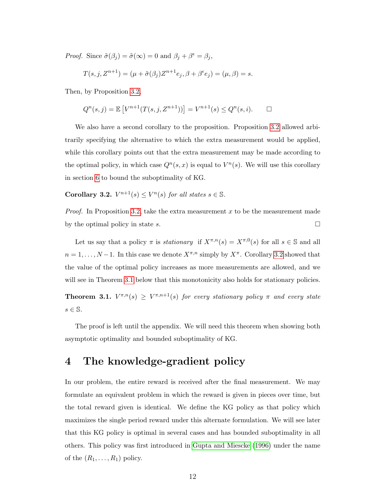<span id="page-11-3"></span>*Proof.* Since  $\tilde{\sigma}(\beta_j) = \tilde{\sigma}(\infty) = 0$  and  $\beta_j + \beta^{\epsilon} = \beta_j$ ,

$$
T(s, j, Z^{n+1}) = (\mu + \tilde{\sigma}(\beta_j)Z^{n+1}e_j, \beta + \beta^{\epsilon}e_j) = (\mu, \beta) = s.
$$

Then, by Proposition [3.2,](#page-10-0)

$$
Q^{n}(s, j) = \mathbb{E}\left[V^{n+1}(T(s, j, Z^{n+1}))\right] = V^{n+1}(s) \le Q^{n}(s, i). \qquad \Box
$$

We also have a second corollary to the proposition. Proposition [3.2](#page-10-0) allowed arbitrarily specifying the alternative to which the extra measurement would be applied, while this corollary points out that the extra measurement may be made according to the optimal policy, in which case  $Q^n(s, x)$  is equal to  $V^n(s)$ . We will use this corollary in section [6](#page-18-0) to bound the suboptimality of KG.

<span id="page-11-1"></span>**Corollary 3.2.**  $V^{n+1}(s) \leq V^n(s)$  for all states  $s \in \mathbb{S}$ .

*Proof.* In Proposition [3.2,](#page-10-0) take the extra measurement x to be the measurement made by the optimal policy in state s.  $\Box$ 

Let us say that a policy  $\pi$  is *stationary* if  $X^{\pi,n}(s) = X^{\pi,0}(s)$  for all  $s \in \mathbb{S}$  and all  $n = 1, \ldots, N-1$ . In this case we denote  $X^{\pi,n}$  simply by  $X^{\pi}$ . Corollary [3.2](#page-11-1) showed that the value of the optimal policy increases as more measurements are allowed, and we will see in Theorem [3.1](#page-11-2) below that this monotonicity also holds for stationary policies.

<span id="page-11-2"></span>**Theorem 3.1.**  $V^{\pi,n}(s) \geq V^{\pi,n+1}(s)$  for every stationary policy  $\pi$  and every state  $s \in \mathbb{S}$ .

The proof is left until the appendix. We will need this theorem when showing both asymptotic optimality and bounded suboptimality of KG.

# <span id="page-11-0"></span>4 The knowledge-gradient policy

In our problem, the entire reward is received after the final measurement. We may formulate an equivalent problem in which the reward is given in pieces over time, but the total reward given is identical. We define the KG policy as that policy which maximizes the single period reward under this alternate formulation. We will see later that this KG policy is optimal in several cases and has bounded suboptimality in all others. This policy was first introduced in [Gupta and Miescke](#page-42-0) [\(1996\)](#page-42-0) under the name of the  $(R_1, \ldots, R_1)$  policy.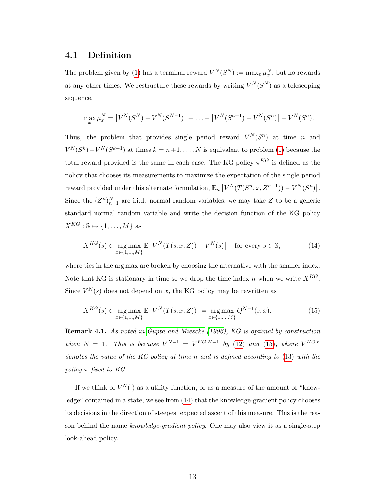### <span id="page-12-4"></span><span id="page-12-0"></span>4.1 Definition

The problem given by [\(1\)](#page-7-0) has a terminal reward  $V^N(S^N) := \max_x \mu_x^N$ , but no rewards at any other times. We restructure these rewards by writing  $V^N(S^N)$  as a telescoping sequence,

$$
\max_x \mu_x^N = [V^N(S^N) - V^N(S^{N-1})] + \ldots + [V^N(S^{n+1}) - V^N(S^n)] + V^N(S^n).
$$

Thus, the problem that provides single period reward  $V^N(S^n)$  at time n and  $V^N(S^k) - V^N(S^{k-1})$  at times  $k = n+1, \ldots, N$  is equivalent to problem [\(1\)](#page-7-0) because the total reward provided is the same in each case. The KG policy  $\pi^{KG}$  is defined as the policy that chooses its measurements to maximize the expectation of the single period reward provided under this alternate formulation,  $\mathbb{E}_n \left[ V^N(T(S^n, x, Z^{n+1})) - V^N(S^n) \right]$ . Since the  $(Z^n)_{n=1}^N$  are i.i.d. normal random variables, we may take Z to be a generic standard normal random variable and write the decision function of the KG policy  $X^{KG}: \mathbb{S} \mapsto \{1, \ldots, M\}$  as

<span id="page-12-2"></span>
$$
X^{KG}(s) \in \underset{x \in \{1, \ldots, M\}}{\arg \max} \mathbb{E}\left[V^{N}(T(s, x, Z)) - V^{N}(s)\right] \quad \text{for every } s \in \mathbb{S},\tag{14}
$$

where ties in the arg max are broken by choosing the alternative with the smaller index. Note that KG is stationary in time so we drop the time index n when we write  $X^{KG}$ . Since  $V^N(s)$  does not depend on x, the KG policy may be rewritten as

<span id="page-12-1"></span>
$$
X^{KG}(s) \in \underset{x \in \{1, \ldots, M\}}{\arg \max} \mathbb{E}\left[V^{N}(T(s, x, Z))\right] = \underset{x \in \{1, \ldots, M\}}{\arg \max} Q^{N-1}(s, x). \tag{15}
$$

<span id="page-12-3"></span>Remark 4.1. As noted in [Gupta and Miescke](#page-42-0) [\(1996\)](#page-42-0), KG is optimal by construction when  $N = 1$ . This is because  $V^{N-1} = V^{KG,N-1}$  by [\(12\)](#page-10-1) and [\(15\)](#page-12-1), where  $V^{KG,n}$ denotes the value of the KG policy at time n and is defined according to [\(13\)](#page-10-2) with the policy  $\pi$  fixed to KG.

If we think of  $V^N(\cdot)$  as a utility function, or as a measure of the amount of "knowledge" contained in a state, we see from [\(14\)](#page-12-2) that the knowledge-gradient policy chooses its decisions in the direction of steepest expected ascent of this measure. This is the reason behind the name knowledge-gradient policy. One may also view it as a single-step look-ahead policy.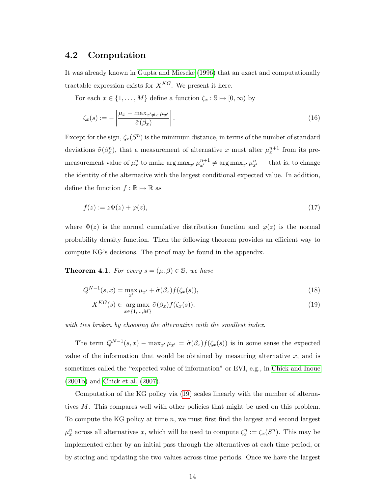### <span id="page-13-4"></span>4.2 Computation

It was already known in [Gupta and Miescke](#page-42-0) [\(1996\)](#page-42-0) that an exact and computationally tractable expression exists for  $X^{KG}$ . We present it here.

For each  $x \in \{1, ..., M\}$  define a function  $\zeta_x : \mathbb{S} \mapsto [0, \infty)$  by

$$
\zeta_x(s) := -\left| \frac{\mu_x - \max_{x' \neq x} \mu_{x'}}{\tilde{\sigma}(\beta_x)} \right|.
$$
\n(16)

Except for the sign,  $\zeta_x(S^n)$  is the minimum distance, in terms of the number of standard deviations  $\tilde{\sigma}(\beta_x^n)$ , that a measurement of alternative x must alter  $\mu_x^{n+1}$  from its premeasurement value of  $\mu_x^n$  to make  $\arg \max_{x'} \mu_{x'}^{n+1} \neq \arg \max_{x'} \mu_{x'}^n$  — that is, to change the identity of the alternative with the largest conditional expected value. In addition, define the function  $f : \mathbb{R} \mapsto \mathbb{R}$  as

<span id="page-13-2"></span>
$$
f(z) := z\Phi(z) + \varphi(z),\tag{17}
$$

where  $\Phi(z)$  is the normal cumulative distribution function and  $\varphi(z)$  is the normal probability density function. Then the following theorem provides an efficient way to compute KG's decisions. The proof may be found in the appendix.

<span id="page-13-3"></span>**Theorem 4.1.** For every  $s = (\mu, \beta) \in \mathbb{S}$ , we have

$$
Q^{N-1}(s,x) = \max_{x'} \mu_{x'} + \tilde{\sigma}(\beta_x) f(\zeta_x(s)),
$$
\n(18)

<span id="page-13-1"></span><span id="page-13-0"></span>
$$
X^{KG}(s) \in \underset{x \in \{1, \ldots, M\}}{\arg \max} \tilde{\sigma}(\beta_x) f(\zeta_x(s)). \tag{19}
$$

with ties broken by choosing the alternative with the smallest index.

The term  $Q^{N-1}(s,x) - \max_{x'} \mu_{x'} = \tilde{\sigma}(\beta_x) f(\zeta_x(s))$  is in some sense the expected value of the information that would be obtained by measuring alternative  $x$ , and is sometimes called the "expected value of information" or EVI, e.g., in [Chick and Inoue](#page-41-0) [\(2001b\)](#page-41-0) and [Chick et al.](#page-41-6) [\(2007\)](#page-41-6).

Computation of the KG policy via [\(19\)](#page-13-0) scales linearly with the number of alternatives M. This compares well with other policies that might be used on this problem. To compute the KG policy at time n, we must first find the largest and second largest  $\mu_x^n$  across all alternatives x, which will be used to compute  $\zeta_x^n := \zeta_x(S^n)$ . This may be implemented either by an initial pass through the alternatives at each time period, or by storing and updating the two values across time periods. Once we have the largest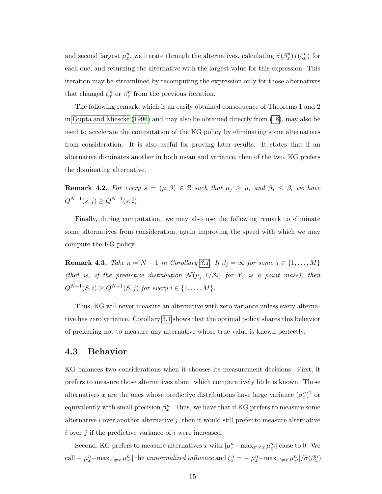<span id="page-14-2"></span>and second largest  $\mu_x^n$ , we iterate through the alternatives, calculating  $\tilde{\sigma}(\beta_x^n) f(\zeta_x^n)$  for each one, and returning the alternative with the largest value for this expression. This iteration may be streamlined by recomputing the expression only for those alternatives that changed  $\zeta_x^n$  or  $\beta_x^n$  from the previous iteration.

The following remark, which is an easily obtained consequence of Theorems 1 and 2 in [Gupta and Miescke](#page-42-0) [\(1996\)](#page-42-0) and may also be obtained directly from [\(18\)](#page-13-1), may also be used to accelerate the computation of the KG policy by eliminating some alternatives from consideration. It is also useful for proving later results. It states that if an alternative dominates another in both mean and variance, then of the two, KG prefers the dominating alternative.

<span id="page-14-0"></span>**Remark 4.2.** For every  $s = (\mu, \beta) \in \mathbb{S}$  such that  $\mu_j \geq \mu_i$  and  $\beta_j \leq \beta_i$  we have  $Q^{N-1}(s, j) \geq Q^{N-1}(s, i).$ 

Finally, during computation, we may also use the following remark to eliminate some alternatives from consideration, again improving the speed with which we may compute the KG policy.

<span id="page-14-1"></span>**Remark 4.3.** Take  $n = N - 1$  in Corollary [3.1.](#page-10-3) If  $\beta_j = \infty$  for some  $j \in \{1, ..., M\}$ (that is, if the predictive distribution  $\mathcal{N}(\mu_j, 1/\beta_j)$  for  $Y_j$  is a point mass), then  $Q^{N-1}(S, i) \ge Q^{N-1}(S, j)$  for every  $i \in \{1, ..., M\}$ .

Thus, KG will never measure an alternative with zero variance unless every alternative has zero variance. Corollary [3.1](#page-10-3) shows that the optimal policy shares this behavior of preferring not to measure any alternative whose true value is known perfectly.

#### 4.3 Behavior

KG balances two considerations when it chooses its measurement decisions. First, it prefers to measure those alternatives about which comparatively little is known. These alternatives x are the ones whose predictive distributions have large variance  $(\sigma_x^n)^2$  or equivalently with small precision  $\beta_x^n$ . Thus, we have that if KG prefers to measure some alternative  $i$  over another alternative  $j$ , then it would still prefer to measure alternative i over j if the predictive variance of i were increased.

Second, KG prefers to measure alternatives x with  $|\mu_x^n - \max_{x' \neq x} \mu_{x'}^n|$  close to 0. We call  $-|\mu_x^n - \max_{x'\neq x} \mu_{x'}^n|$  the unnormalized influence and  $\zeta_x^n = -|\mu_x^n - \max_{x'\neq x} \mu_{x'}^n|/\tilde{\sigma}(\beta_x^n)$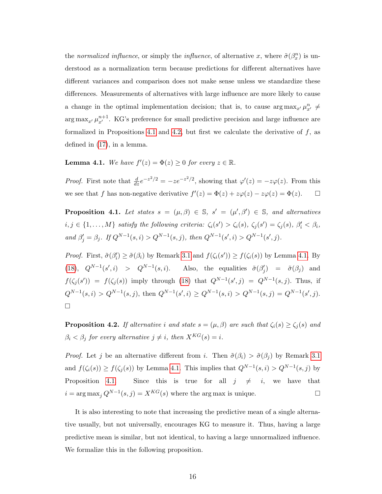the normalized influence, or simply the influence, of alternative x, where  $\tilde{\sigma}(\beta_x^n)$  is understood as a normalization term because predictions for different alternatives have different variances and comparison does not make sense unless we standardize these differences. Measurements of alternatives with large influence are more likely to cause a change in the optimal implementation decision; that is, to cause  $\arg \max_{x'} \mu_{x'}^n \neq$  $\arg \max_{x'} \mu_{x'}^{n+1}$ . KG's preference for small predictive precision and large influence are formalized in Propositions [4.1](#page-15-0) and [4.2,](#page-15-1) but first we calculate the derivative of  $f$ , as defined in [\(17\)](#page-13-2), in a lemma.

<span id="page-15-2"></span>**Lemma 4.1.** We have  $f'(z) = \Phi(z) \geq 0$  for every  $z \in \mathbb{R}$ .

*Proof.* First note that  $\frac{d}{dz}e^{-z^2/2} = -ze^{-z^2/2}$ , showing that  $\varphi'(z) = -z\varphi(z)$ . From this we see that f has non-negative derivative  $f'(z) = \Phi(z) + z\varphi(z) - z\varphi(z) = \Phi(z)$ .  $\Box$ 

<span id="page-15-0"></span>**Proposition 4.1.** Let states  $s = (\mu, \beta) \in \mathbb{S}$ ,  $s' = (\mu', \beta') \in \mathbb{S}$ , and alternatives  $i, j \in \{1, ..., M\}$  satisfy the following criteria:  $\zeta_i(s') > \zeta_i(s)$ ,  $\zeta_j(s') = \zeta_j(s)$ ,  $\beta'_i < \beta_i$ , and  $\beta'_j = \beta_j$ . If  $Q^{N-1}(s, i) > Q^{N-1}(s, j)$ , then  $Q^{N-1}(s', i) > Q^{N-1}(s', j)$ .

*Proof.* First,  $\tilde{\sigma}(\beta_i') \geq \tilde{\sigma}(\beta_i)$  by Remark [3.1](#page-8-1) and  $f(\zeta_i(s')) \geq f(\zeta_i(s))$  by Lemma [4.1.](#page-15-2) By [\(18\)](#page-13-1),  $Q^{N-1}(s', i) > Q^{N-1}(s, i)$ . Also, the equalities  $\tilde{\sigma}(\beta_j') = \tilde{\sigma}(\beta_j)$  and  $f(\zeta_j(s')) = f(\zeta_j(s))$  imply through [\(18\)](#page-13-1) that  $Q^{N-1}(s',j) = Q^{N-1}(s,j)$ . Thus, if  $Q^{N-1}(s,i) > Q^{N-1}(s,j)$ , then  $Q^{N-1}(s',i) \ge Q^{N-1}(s,i) > Q^{N-1}(s,j) = Q^{N-1}(s',j)$ .  $\Box$ 

<span id="page-15-1"></span>**Proposition 4.2.** If alternative i and state  $s = (\mu, \beta)$  are such that  $\zeta_i(s) \geq \zeta_j(s)$  and  $\beta_i < \beta_j$  for every alternative  $j \neq i$ , then  $X^{KG}(s) = i$ .

*Proof.* Let j be an alternative different from i. Then  $\tilde{\sigma}(\beta_i) > \tilde{\sigma}(\beta_j)$  by Remark [3.1](#page-8-1) and  $f(\zeta_i(s)) \geq f(\zeta_j(s))$  by Lemma [4.1.](#page-15-2) This implies that  $Q^{N-1}(s,i) > Q^{N-1}(s,j)$  by Proposition [4.1.](#page-15-0) Since this is true for all  $j \neq i$ , we have that  $i = \arg \max_j Q^{N-1}(s, j) = X^{KG}(s)$  where the arg max is unique.

<span id="page-15-3"></span>It is also interesting to note that increasing the predictive mean of a single alternative usually, but not universally, encourages KG to measure it. Thus, having a large predictive mean is similar, but not identical, to having a large unnormalized influence. We formalize this in the following proposition.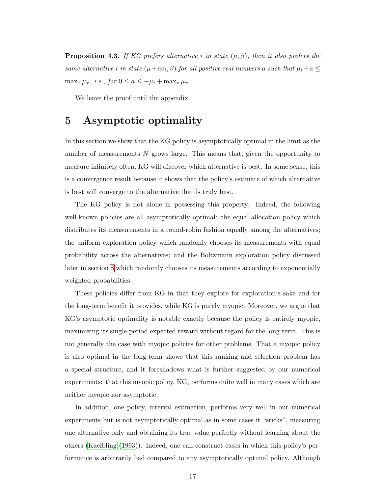<span id="page-16-1"></span>**Proposition 4.3.** If KG prefers alternative i in state  $(\mu, \beta)$ , then it also prefers the same alternative i in state  $(\mu + ae_i, \beta)$  for all positive real numbers a such that  $\mu_i + a \leq$  $\max_x \mu_x$ , *i.e.*, for  $0 \le a \le -\mu_i + \max_x \mu_x$ .

We leave the proof until the appendix.

## <span id="page-16-0"></span>5 Asymptotic optimality

In this section we show that the KG policy is asymptotically optimal in the limit as the number of measurements N grows large. This means that, given the opportunity to measure infinitely often, KG will discover which alternative is best. In some sense, this is a convergence result because it shows that the policy's estimate of which alternative is best will converge to the alternative that is truly best.

The KG policy is not alone in possessing this property. Indeed, the following well-known policies are all asymptotically optimal: the equal-allocation policy which distributes its measurements in a round-robin fashion equally among the alternatives; the uniform exploration policy which randomly chooses its measurements with equal probability across the alternatives; and the Boltzmann exploration policy discussed later in section [8](#page-23-0) which randomly chooses its measurements according to exponentially weighted probabilities.

These policies differ from KG in that they explore for exploration's sake and for the long-term benefit it provides, while KG is purely myopic. Moreover, we argue that KG's asymptotic optimality is notable exactly because the policy is entirely myopic, maximizing its single-period expected reward without regard for the long-term. This is not generally the case with myopic policies for other problems. That a myopic policy is also optimal in the long-term shows that this ranking and selection problem has a special structure, and it foreshadows what is further suggested by our numerical experiments: that this myopic policy, KG, performs quite well in many cases which are neither myopic nor asymptotic.

In addition, one policy, interval estimation, performs very well in our numerical experiments but is not asymptotically optimal as in some cases it "sticks", measuring one alternative only and obtaining its true value perfectly without learning about the others [\(Kaelbling](#page-42-8) [\(1993\)](#page-42-8)). Indeed, one can construct cases in which this policy's performance is arbitrarily bad compared to any asymptotically optimal policy. Although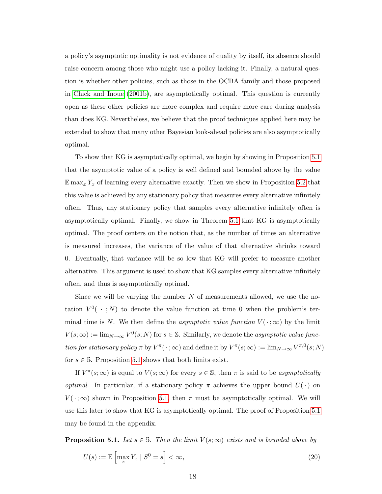<span id="page-17-1"></span>a policy's asymptotic optimality is not evidence of quality by itself, its absence should raise concern among those who might use a policy lacking it. Finally, a natural question is whether other policies, such as those in the OCBA family and those proposed in [Chick and Inoue](#page-41-0) [\(2001b\)](#page-41-0), are asymptotically optimal. This question is currently open as these other policies are more complex and require more care during analysis than does KG. Nevertheless, we believe that the proof techniques applied here may be extended to show that many other Bayesian look-ahead policies are also asymptotically optimal.

To show that KG is asymptotically optimal, we begin by showing in Proposition [5.1](#page-17-0) that the asymptotic value of a policy is well defined and bounded above by the value  $\mathbb{E} \max_x Y_x$  of learning every alternative exactly. Then we show in Proposition [5.2](#page-18-1) that this value is achieved by any stationary policy that measures every alternative infinitely often. Thus, any stationary policy that samples every alternative infinitely often is asymptotically optimal. Finally, we show in Theorem [5.1](#page-18-2) that KG is asymptotically optimal. The proof centers on the notion that, as the number of times an alternative is measured increases, the variance of the value of that alternative shrinks toward 0. Eventually, that variance will be so low that KG will prefer to measure another alternative. This argument is used to show that KG samples every alternative infinitely often, and thus is asymptotically optimal.

Since we will be varying the number  $N$  of measurements allowed, we use the notation  $V^0$  ( $\cdot$ ; N) to denote the value function at time 0 when the problem's terminal time is N. We then define the *asymptotic value function*  $V(\cdot; \infty)$  by the limit  $V(s; \infty) := \lim_{N \to \infty} V^0(s; N)$  for  $s \in \mathbb{S}$ . Similarly, we denote the *asymptotic value func*tion for stationary policy  $\pi$  by  $V^{\pi}(\cdot;\infty)$  and define it by  $V^{\pi}(s;\infty) := \lim_{N\to\infty} V^{\pi,0}(s;N)$ for  $s \in \mathbb{S}$ . Proposition [5.1](#page-17-0) shows that both limits exist.

If  $V^{\pi}(s; \infty)$  is equal to  $V(s; \infty)$  for every  $s \in \mathbb{S}$ , then  $\pi$  is said to be asymptotically *optimal.* In particular, if a stationary policy  $\pi$  achieves the upper bound  $U(\cdot)$  on  $V(\cdot; \infty)$  shown in Proposition [5.1,](#page-17-0) then  $\pi$  must be asymptotically optimal. We will use this later to show that KG is asymptotically optimal. The proof of Proposition [5.1](#page-17-0) may be found in the appendix.

<span id="page-17-0"></span>**Proposition 5.1.** Let  $s \in \mathbb{S}$ . Then the limit  $V(s; \infty)$  exists and is bounded above by

$$
U(s) := \mathbb{E}\left[\max_{x} Y_x \mid S^0 = s\right] < \infty,\tag{20}
$$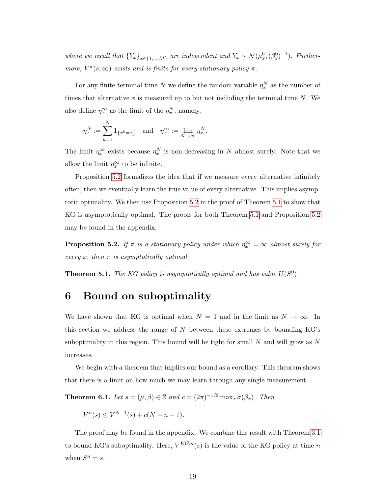where we recall that  ${Y_x}_{x \in \{1,...,M\}}$  are independent and  $Y_x \sim \mathcal{N}(\mu_x^0, (\beta_x^0)^{-1})$ . Furthermore,  $V^{\pi}(s; \infty)$  exists and is finite for every stationary policy  $\pi$ .

For any finite terminal time N we define the random variable  $\eta_x^N$  as the number of times that alternative  $x$  is measured up to but not including the terminal time  $N$ . We also define  $\eta_x^{\infty}$  as the limit of the  $\eta_x^N$ ; namely,

$$
\eta^N_x:=\sum_{k=1}^N 1_{\{x^k=x\}}\quad\text{and}\quad \eta^{\infty}_x:=\lim_{N\to\infty}\eta^N_x.
$$

The limit  $\eta_x^{\infty}$  exists because  $\eta_x^N$  is non-decreasing in N almost surely. Note that we allow the limit  $\eta_x^{\infty}$  to be infinite.

Proposition [5.2](#page-18-1) formalizes the idea that if we measure every alternative infinitely often, then we eventually learn the true value of every alternative. This implies asymptotic optimality. We then use Proposition [5.2](#page-18-1) in the proof of Theorem [5.1](#page-18-2) to show that KG is asymptotically optimal. The proofs for both Theorem [5.1](#page-18-2) and Proposition [5.2](#page-18-1) may be found in the appendix.

<span id="page-18-1"></span>**Proposition 5.2.** If  $\pi$  is a stationary policy under which  $\eta_x^{\infty} = \infty$  almost surely for every x, then  $\pi$  is asymptotically optimal.

<span id="page-18-2"></span>**Theorem 5.1.** The KG policy is asymptotically optimal and has value  $U(S^0)$ .

# <span id="page-18-0"></span>6 Bound on suboptimality

We have shown that KG is optimal when  $N = 1$  and in the limit as  $N \to \infty$ . In this section we address the range of  $N$  between these extremes by bounding  $KG$ 's suboptimality in this region. This bound will be tight for small  $N$  and will grow as  $N$ increases.

We begin with a theorem that implies our bound as a corollary. This theorem shows that there is a limit on how much we may learn through any single measurement.

<span id="page-18-3"></span>**Theorem 6.1.** Let  $s = (\mu, \beta) \in \mathbb{S}$  and  $c = (2\pi)^{-1/2} \max_x \tilde{\sigma}(\beta_x)$ . Then

$$
V^{n}(s) \le V^{N-1}(s) + c(N - n - 1).
$$

The proof may be found in the appendix. We combine this result with Theorem [3.1](#page-11-2) to bound KG's suboptimality. Here,  $V^{KG,n}(s)$  is the value of the KG policy at time n when  $S^n = s$ .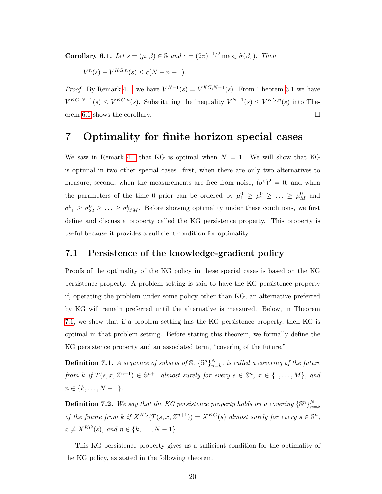**Corollary 6.1.** Let  $s = (\mu, \beta) \in \mathbb{S}$  and  $c = (2\pi)^{-1/2} \max_x \tilde{\sigma}(\beta_x)$ . Then

$$
V^n(s) - V^{KG,n}(s) \le c(N - n - 1).
$$

*Proof.* By Remark [4.1,](#page-12-3) we have  $V^{N-1}(s) = V^{KG,N-1}(s)$ . From Theorem [3.1](#page-11-2) we have  $V^{KG,N-1}(s) \leq V^{KG,n}(s)$ . Substituting the inequality  $V^{N-1}(s) \leq V^{KG,n}(s)$  into The-orem [6.1](#page-18-3) shows the corollary.  $\Box$ 

### <span id="page-19-0"></span>7 Optimality for finite horizon special cases

We saw in Remark [4.1](#page-12-3) that KG is optimal when  $N = 1$ . We will show that KG is optimal in two other special cases: first, when there are only two alternatives to measure; second, when the measurements are free from noise,  $(\sigma^{\varepsilon})^2 = 0$ , and when the parameters of the time 0 prior can be ordered by  $\mu_1^0 \ge \mu_2^0 \ge \ldots \ge \mu_M^0$  and  $\sigma_{11}^0 \geq \sigma_{22}^0 \geq \ldots \geq \sigma_{MM}^0$ . Before showing optimality under these conditions, we first define and discuss a property called the KG persistence property. This property is useful because it provides a sufficient condition for optimality.

### 7.1 Persistence of the knowledge-gradient policy

Proofs of the optimality of the KG policy in these special cases is based on the KG persistence property. A problem setting is said to have the KG persistence property if, operating the problem under some policy other than KG, an alternative preferred by KG will remain preferred until the alternative is measured. Below, in Theorem [7.1,](#page-19-1) we show that if a problem setting has the KG persistence property, then KG is optimal in that problem setting. Before stating this theorem, we formally define the KG persistence property and an associated term, "covering of the future."

**Definition 7.1.** A sequence of subsets of  $\mathbb{S}$ ,  $\{\mathbb{S}^n\}_{n=k}^N$ , is called a covering of the future from k if  $T(s, x, Z^{n+1}) \in \mathbb{S}^{n+1}$  almost surely for every  $s \in \mathbb{S}^n$ ,  $x \in \{1, ..., M\}$ , and  $n \in \{k, \ldots, N-1\}.$ 

**Definition 7.2.** We say that the KG persistence property holds on a covering  $\{\mathbb{S}^n\}_{n=k}^N$ of the future from k if  $X^{KG}(T(s,x,Z^{n+1})) = X^{KG}(s)$  almost surely for every  $s \in \mathbb{S}^n$ ,  $x \neq X^{KG}(s)$ , and  $n \in \{k, ..., N - 1\}.$ 

<span id="page-19-1"></span>This KG persistence property gives us a sufficient condition for the optimality of the KG policy, as stated in the following theorem.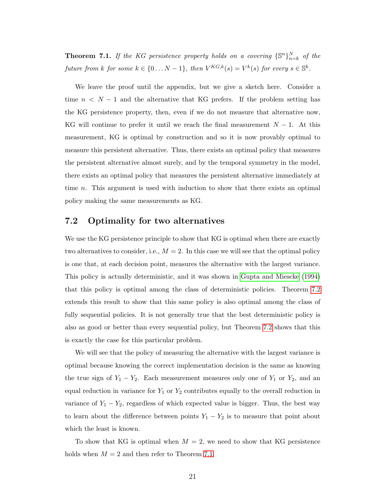<span id="page-20-1"></span>**Theorem 7.1.** If the KG persistence property holds on a covering  $\{\mathbb{S}^n\}_{n=k}^N$  of the future from k for some  $k \in \{0...N-1\}$ , then  $V^{KG,k}(s) = V^k(s)$  for every  $s \in \mathbb{S}^k$ .

We leave the proof until the appendix, but we give a sketch here. Consider a time  $n < N - 1$  and the alternative that KG prefers. If the problem setting has the KG persistence property, then, even if we do not measure that alternative now, KG will continue to prefer it until we reach the final measurement  $N-1$ . At this measurement, KG is optimal by construction and so it is now provably optimal to measure this persistent alternative. Thus, there exists an optimal policy that measures the persistent alternative almost surely, and by the temporal symmetry in the model, there exists an optimal policy that measures the persistent alternative immediately at time n. This argument is used with induction to show that there exists an optimal policy making the same measurements as KG.

#### 7.2 Optimality for two alternatives

We use the KG persistence principle to show that KG is optimal when there are exactly two alternatives to consider, i.e.,  $M = 2$ . In this case we will see that the optimal policy is one that, at each decision point, measures the alternative with the largest variance. This policy is actually deterministic, and it was shown in [Gupta and Miescke](#page-41-1) [\(1994\)](#page-41-1) that this policy is optimal among the class of deterministic policies. Theorem [7.2](#page-21-0) extends this result to show that this same policy is also optimal among the class of fully sequential policies. It is not generally true that the best deterministic policy is also as good or better than every sequential policy, but Theorem [7.2](#page-21-0) shows that this is exactly the case for this particular problem.

We will see that the policy of measuring the alternative with the largest variance is optimal because knowing the correct implementation decision is the same as knowing the true sign of  $Y_1 - Y_2$ . Each measurement measures only one of  $Y_1$  or  $Y_2$ , and an equal reduction in variance for  $Y_1$  or  $Y_2$  contributes equally to the overall reduction in variance of  $Y_1 - Y_2$ , regardless of which expected value is bigger. Thus, the best way to learn about the difference between points  $Y_1 - Y_2$  is to measure that point about which the least is known.

<span id="page-20-0"></span>To show that KG is optimal when  $M = 2$ , we need to show that KG persistence holds when  $M = 2$  and then refer to Theorem [7.1.](#page-19-1)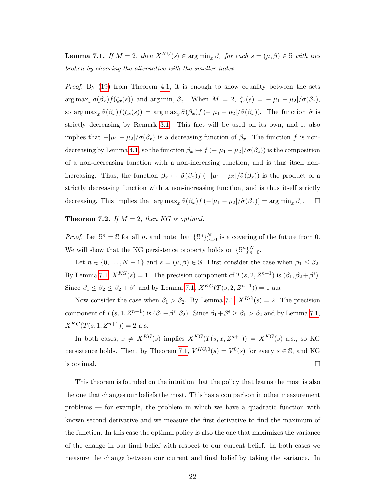**Lemma 7.1.** If  $M = 2$ , then  $X^{KG}(s) \in \arg\min_{x} \beta_x$  for each  $s = (\mu, \beta) \in \mathbb{S}$  with ties broken by choosing the alternative with the smaller index.

Proof. By [\(19\)](#page-13-0) from Theorem [4.1,](#page-13-3) it is enough to show equality between the sets  $\arg \max_x \tilde{\sigma}(\beta_x) f(\zeta_x(s))$  and  $\arg \min_x \beta_x$ . When  $M = 2$ ,  $\zeta_x(s) = -|\mu_1 - \mu_2|/\tilde{\sigma}(\beta_x)$ , so  $\arg \max_x \tilde{\sigma}(\beta_x) f(\zeta_x(s)) = \arg \max_x \tilde{\sigma}(\beta_x) f(-|\mu_1 - \mu_2|/\tilde{\sigma}(\beta_x)).$  The function  $\tilde{\sigma}$  is strictly decreasing by Remark [3.1.](#page-8-1) This fact will be used on its own, and it also implies that  $-|\mu_1 - \mu_2|/\tilde{\sigma}(\beta_x)$  is a decreasing function of  $\beta_x$ . The function f is non-decreasing by Lemma [4.1,](#page-15-2) so the function  $\beta_x \mapsto f(-|\mu_1 - \mu_2|/\tilde{\sigma}(\beta_x))$  is the composition of a non-decreasing function with a non-increasing function, and is thus itself nonincreasing. Thus, the function  $\beta_x \mapsto \tilde{\sigma}(\beta_x)f(-|\mu_1 - \mu_2|/\tilde{\sigma}(\beta_x))$  is the product of a strictly decreasing function with a non-increasing function, and is thus itself strictly decreasing. This implies that  $\arg \max_x \tilde{\sigma}(\beta_x) f(-|\mu_1 - \mu_2|/\tilde{\sigma}(\beta_x)) = \arg \min_x \beta_x$ .  $\Box$ 

<span id="page-21-0"></span>**Theorem 7.2.** If  $M = 2$ , then KG is optimal.

*Proof.* Let  $\mathbb{S}^n = \mathbb{S}$  for all n, and note that  $\{\mathbb{S}^n\}_{n=0}^N$  is a covering of the future from 0. We will show that the KG persistence property holds on  $\{\mathbb{S}^n\}_{n=0}^N$ .

Let  $n \in \{0, ..., N-1\}$  and  $s = (\mu, \beta) \in \mathbb{S}$ . First consider the case when  $\beta_1 \leq \beta_2$ . By Lemma [7.1,](#page-20-0)  $X^{KG}(s) = 1$ . The precision component of  $T(s, 2, Z^{n+1})$  is  $(\beta_1, \beta_2 + \beta^{\epsilon})$ . Since  $\beta_1 \leq \beta_2 \leq \beta_2 + \beta^{\epsilon}$  and by Lemma [7.1,](#page-20-0)  $X^{KG}(T(s, 2, \mathbb{Z}^{n+1})) = 1$  a.s.

Now consider the case when  $\beta_1 > \beta_2$ . By Lemma [7.1,](#page-20-0)  $X^{KG}(s) = 2$ . The precision component of  $T(s, 1, Z^{n+1})$  is  $(\beta_1 + \beta^{\epsilon}, \beta_2)$ . Since  $\beta_1 + \beta^{\epsilon} \ge \beta_1 > \beta_2$  and by Lemma [7.1,](#page-20-0)  $X^{KG}(T(s, 1, Z^{n+1})) = 2$  a.s.

In both cases,  $x \neq X^{KG}(s)$  implies  $X^{KG}(T(s, x, Z^{n+1})) = X^{KG}(s)$  a.s., so KG persistence holds. Then, by Theorem [7.1,](#page-19-1)  $V^{KG,0}(s) = V^0(s)$  for every  $s \in \mathbb{S}$ , and KG is optimal.  $\Box$ 

This theorem is founded on the intuition that the policy that learns the most is also the one that changes our beliefs the most. This has a comparison in other measurement problems — for example, the problem in which we have a quadratic function with known second derivative and we measure the first derivative to find the maximum of the function. In this case the optimal policy is also the one that maximizes the variance of the change in our final belief with respect to our current belief. In both cases we measure the change between our current and final belief by taking the variance. In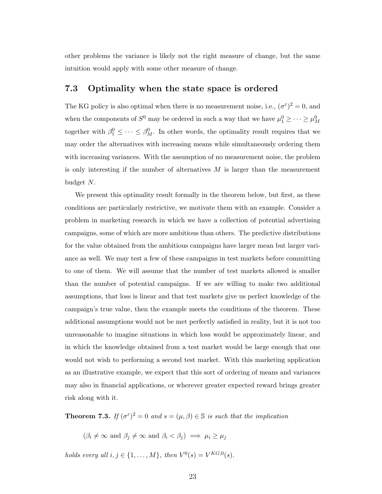other problems the variance is likely not the right measure of change, but the same intuition would apply with some other measure of change.

### 7.3 Optimality when the state space is ordered

The KG policy is also optimal when there is no measurement noise, i.e.,  $(\sigma^{\varepsilon})^2 = 0$ , and when the components of  $S^0$  may be ordered in such a way that we have  $\mu_1^0 \geq \cdots \geq \mu_M^0$ together with  $\beta_1^0 \leq \cdots \leq \beta_M^0$ . In other words, the optimality result requires that we may order the alternatives with increasing means while simultaneously ordering them with increasing variances. With the assumption of no measurement noise, the problem is only interesting if the number of alternatives  $M$  is larger than the measurement budget N.

We present this optimality result formally in the theorem below, but first, as these conditions are particularly restrictive, we motivate them with an example. Consider a problem in marketing research in which we have a collection of potential advertising campaigns, some of which are more ambitious than others. The predictive distributions for the value obtained from the ambitious campaigns have larger mean but larger variance as well. We may test a few of these campaigns in test markets before committing to one of them. We will assume that the number of test markets allowed is smaller than the number of potential campaigns. If we are willing to make two additional assumptions, that loss is linear and that test markets give us perfect knowledge of the campaign's true value, then the example meets the conditions of the theorem. These additional assumptions would not be met perfectly satisfied in reality, but it is not too unreasonable to imagine situations in which loss would be approximately linear, and in which the knowledge obtained from a test market would be large enough that one would not wish to performing a second test market. With this marketing application as an illustrative example, we expect that this sort of ordering of means and variances may also in financial applications, or wherever greater expected reward brings greater risk along with it.

<span id="page-22-0"></span>**Theorem 7.3.** If  $(\sigma^{\varepsilon})^2 = 0$  and  $s = (\mu, \beta) \in \mathbb{S}$  is such that the implication

 $(\beta_i \neq \infty \text{ and } \beta_j \neq \infty \text{ and } \beta_i < \beta_j) \implies \mu_i \geq \mu_j$ 

*holds every all*  $i, j \in \{1, ..., M\}$ , then  $V^0(s) = V^{KG,0}(s)$ .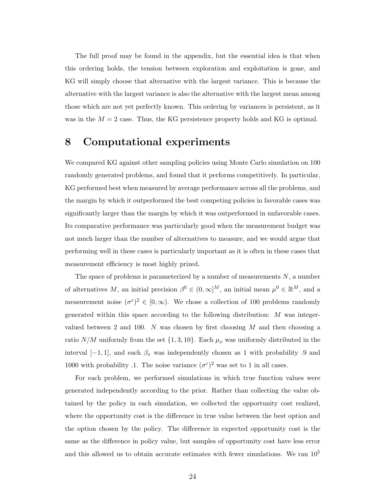The full proof may be found in the appendix, but the essential idea is that when this ordering holds, the tension between exploration and exploitation is gone, and KG will simply choose that alternative with the largest variance. This is because the alternative with the largest variance is also the alternative with the largest mean among those which are not yet perfectly known. This ordering by variances is persistent, as it was in the  $M = 2$  case. Thus, the KG persistence property holds and KG is optimal.

# <span id="page-23-0"></span>8 Computational experiments

We compared KG against other sampling policies using Monte Carlo simulation on 100 randomly generated problems, and found that it performs competitively. In particular, KG performed best when measured by average performance across all the problems, and the margin by which it outperformed the best competing policies in favorable cases was significantly larger than the margin by which it was outperformed in unfavorable cases. Its comparative performance was particularly good when the measurement budget was not much larger than the number of alternatives to measure, and we would argue that performing well in these cases is particularly important as it is often in these cases that measurement efficiency is most highly prized.

The space of problems is parameterized by a number of measurements  $N$ , a number of alternatives M, an initial precision  $\beta^0 \in (0, \infty]^M$ , an initial mean  $\mu^0 \in \mathbb{R}^M$ , and a measurement noise  $({\sigma}^{\varepsilon})^2 \in [0,\infty)$ . We chose a collection of 100 problems randomly generated within this space according to the following distribution: M was integervalued between 2 and 100. N was chosen by first choosing  $M$  and then choosing a ratio  $N/M$  uniformly from the set  $\{1, 3, 10\}$ . Each  $\mu_x$  was uniformly distributed in the interval  $[-1, 1]$ , and each  $\beta_x$  was independently chosen as 1 with probability .9 and 1000 with probability .1. The noise variance  $(\sigma^{\varepsilon})^2$  was set to 1 in all cases.

For each problem, we performed simulations in which true function values were generated independently according to the prior. Rather than collecting the value obtained by the policy in each simulation, we collected the opportunity cost realized, where the opportunity cost is the difference in true value between the best option and the option chosen by the policy. The difference in expected opportunity cost is the same as the difference in policy value, but samples of opportunity cost have less error and this allowed us to obtain accurate estimates with fewer simulations. We ran  $10^5$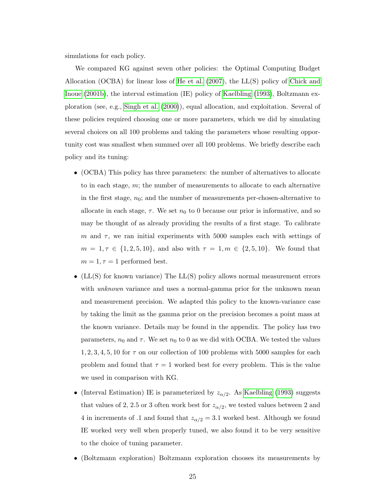<span id="page-24-0"></span>simulations for each policy.

We compared KG against seven other policies: the Optimal Computing Budget Allocation (OCBA) for linear loss of [He et al.](#page-42-1) [\(2007\)](#page-42-1), the LL(S) policy of [Chick and](#page-41-0) [Inoue](#page-41-0) [\(2001b\)](#page-41-0), the interval estimation (IE) policy of [Kaelbling](#page-42-8) [\(1993\)](#page-42-8), Boltzmann exploration (see, e.g., [Singh et al.](#page-43-1) [\(2000\)](#page-43-1)), equal allocation, and exploitation. Several of these policies required choosing one or more parameters, which we did by simulating several choices on all 100 problems and taking the parameters whose resulting opportunity cost was smallest when summed over all 100 problems. We briefly describe each policy and its tuning:

- (OCBA) This policy has three parameters: the number of alternatives to allocate to in each stage,  $m$ ; the number of measurements to allocate to each alternative in the first stage,  $n_0$ ; and the number of measurements per-chosen-alternative to allocate in each stage,  $\tau$ . We set  $n_0$  to 0 because our prior is informative, and so may be thought of as already providing the results of a first stage. To calibrate m and  $\tau$ , we ran initial experiments with 5000 samples each with settings of  $m = 1, \tau \in \{1, 2, 5, 10\}$ , and also with  $\tau = 1, m \in \{2, 5, 10\}$ . We found that  $m = 1, \tau = 1$  performed best.
- (LL(S) for known variance) The LL(S) policy allows normal measurement errors with *unknown* variance and uses a normal-gamma prior for the unknown mean and measurement precision. We adapted this policy to the known-variance case by taking the limit as the gamma prior on the precision becomes a point mass at the known variance. Details may be found in the appendix. The policy has two parameters,  $n_0$  and  $\tau$ . We set  $n_0$  to 0 as we did with OCBA. We tested the values  $1, 2, 3, 4, 5, 10$  for  $\tau$  on our collection of 100 problems with 5000 samples for each problem and found that  $\tau = 1$  worked best for every problem. This is the value we used in comparison with KG.
- (Interval Estimation) IE is parameterized by  $z_{\alpha/2}$ . As [Kaelbling](#page-42-8) [\(1993\)](#page-42-8) suggests that values of 2, 2.5 or 3 often work best for  $z_{\alpha/2}$ , we tested values between 2 and 4 in increments of .1 and found that  $z_{\alpha/2} = 3.1$  worked best. Although we found IE worked very well when properly tuned, we also found it to be very sensitive to the choice of tuning parameter.
- (Boltzmann exploration) Boltzmann exploration chooses its measurements by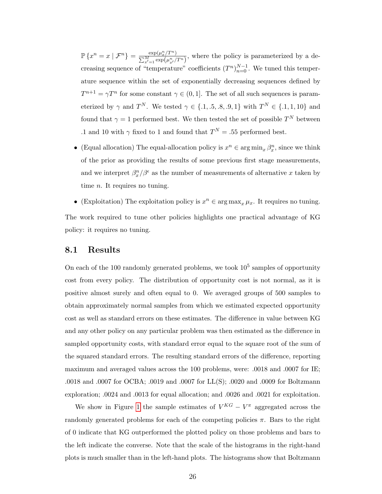$\mathbb{P}\left\{x^n=x\mid\mathcal{F}^n\right\}=\frac{\exp(\mu_x^n/T^n)}{\sum_{n=1}^M\left(x^n-(x^n)\right)^n}$  $\frac{\exp(\mu_x^2/T^{\alpha})}{\sum_{x'=1}^{M} \exp(\mu_{x'}^n/T^n)},$  where the policy is parameterized by a decreasing sequence of "temperature" coefficients  $(T^n)_{n=0}^{N-1}$ . We tuned this temperature sequence within the set of exponentially decreasing sequences defined by  $T^{n+1} = \gamma T^n$  for some constant  $\gamma \in (0, 1]$ . The set of all such sequences is parameterized by  $\gamma$  and  $T^N$ . We tested  $\gamma \in \{.1, .5, .8, .9, 1\}$  with  $T^N \in \{.1, 1, 10\}$  and found that  $\gamma = 1$  performed best. We then tested the set of possible  $T^N$  between .1 and 10 with  $\gamma$  fixed to 1 and found that  $T^N = .55$  performed best.

- (Equal allocation) The equal-allocation policy is  $x^n \in \arg\min_x \beta_x^n$ , since we think of the prior as providing the results of some previous first stage measurements, and we interpret  $\beta_x^n/\beta^{\epsilon}$  as the number of measurements of alternative x taken by time *n*. It requires no tuning.
- (Exploitation) The exploitation policy is  $x^n \in \arg \max_x \mu_x$ . It requires no tuning.

The work required to tune other policies highlights one practical advantage of KG policy: it requires no tuning.

#### 8.1 Results

On each of the 100 randomly generated problems, we took  $10<sup>5</sup>$  samples of opportunity cost from every policy. The distribution of opportunity cost is not normal, as it is positive almost surely and often equal to 0. We averaged groups of 500 samples to obtain approximately normal samples from which we estimated expected opportunity cost as well as standard errors on these estimates. The difference in value between KG and any other policy on any particular problem was then estimated as the difference in sampled opportunity costs, with standard error equal to the square root of the sum of the squared standard errors. The resulting standard errors of the difference, reporting maximum and averaged values across the 100 problems, were: .0018 and .0007 for IE; .0018 and .0007 for OCBA; .0019 and .0007 for LL(S); .0020 and .0009 for Boltzmann exploration; .0024 and .0013 for equal allocation; and .0026 and .0021 for exploitation.

We show in Figure [1](#page-26-0) the sample estimates of  $V^{KG} - V^{\pi}$  aggregated across the randomly generated problems for each of the competing policies  $\pi$ . Bars to the right of 0 indicate that KG outperformed the plotted policy on those problems and bars to the left indicate the converse. Note that the scale of the histograms in the right-hand plots is much smaller than in the left-hand plots. The histograms show that Boltzmann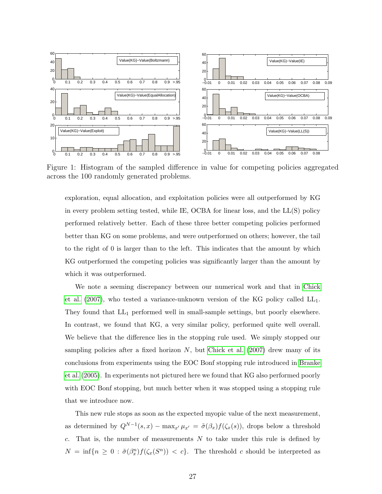<span id="page-26-1"></span>

<span id="page-26-0"></span>Figure 1: Histogram of the sampled difference in value for competing policies aggregated across the 100 randomly generated problems.

exploration, equal allocation, and exploitation policies were all outperformed by KG in every problem setting tested, while IE, OCBA for linear loss, and the LL(S) policy performed relatively better. Each of these three better competing policies performed better than KG on some problems, and were outperformed on others; however, the tail to the right of 0 is larger than to the left. This indicates that the amount by which KG outperformed the competing policies was significantly larger than the amount by which it was outperformed.

We note a seeming discrepancy between our numerical work and that in [Chick](#page-41-6) [et al.](#page-41-6)  $(2007)$ , who tested a variance-unknown version of the KG policy called  $LL_1$ . They found that  $LL_1$  performed well in small-sample settings, but poorly elsewhere. In contrast, we found that KG, a very similar policy, performed quite well overall. We believe that the difference lies in the stopping rule used. We simply stopped our sampling policies after a fixed horizon  $N$ , but [Chick et al.](#page-41-6) [\(2007\)](#page-41-6) drew many of its conclusions from experiments using the EOC Bonf stopping rule introduced in [Branke](#page-40-4) [et al.](#page-40-4) [\(2005\)](#page-40-4). In experiments not pictured here we found that KG also performed poorly with EOC Bonf stopping, but much better when it was stopped using a stopping rule that we introduce now.

This new rule stops as soon as the expected myopic value of the next measurement, as determined by  $Q^{N-1}(s,x) - \max_{x'} \mu_{x'} = \tilde{\sigma}(\beta_x) f(\zeta_x(s))$ , drops below a threshold  $c$ . That is, the number of measurements  $N$  to take under this rule is defined by  $N = \inf\{n \geq 0 : \tilde{\sigma}(\beta_x^n)f(\zeta_x(S^n)) < c\}.$  The threshold c should be interpreted as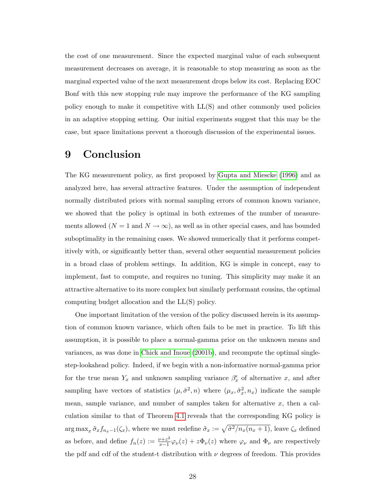<span id="page-27-0"></span>the cost of one measurement. Since the expected marginal value of each subsequent measurement decreases on average, it is reasonable to stop measuring as soon as the marginal expected value of the next measurement drops below its cost. Replacing EOC Bonf with this new stopping rule may improve the performance of the KG sampling policy enough to make it competitive with LL(S) and other commonly used policies in an adaptive stopping setting. Our initial experiments suggest that this may be the case, but space limitations prevent a thorough discussion of the experimental issues.

# 9 Conclusion

The KG measurement policy, as first proposed by [Gupta and Miescke](#page-42-0) [\(1996\)](#page-42-0) and as analyzed here, has several attractive features. Under the assumption of independent normally distributed priors with normal sampling errors of common known variance, we showed that the policy is optimal in both extremes of the number of measurements allowed  $(N = 1$  and  $N \to \infty)$ , as well as in other special cases, and has bounded suboptimality in the remaining cases. We showed numerically that it performs competitively with, or significantly better than, several other sequential measurement policies in a broad class of problem settings. In addition, KG is simple in concept, easy to implement, fast to compute, and requires no tuning. This simplicity may make it an attractive alternative to its more complex but similarly performant cousins, the optimal computing budget allocation and the LL(S) policy.

One important limitation of the version of the policy discussed herein is its assumption of common known variance, which often fails to be met in practice. To lift this assumption, it is possible to place a normal-gamma prior on the unknown means and variances, as was done in [Chick and Inoue](#page-41-0) [\(2001b\)](#page-41-0), and recompute the optimal singlestep-lookahead policy. Indeed, if we begin with a non-informative normal-gamma prior for the true mean  $Y_x$  and unknown sampling variance  $\beta_x^{\epsilon}$  of alternative x, and after sampling have vectors of statistics  $(\mu, \hat{\sigma}^2, n)$  where  $(\mu_x, \hat{\sigma}_x^2, n_x)$  indicate the sample mean, sample variance, and number of samples taken for alternative  $x$ , then a calculation similar to that of Theorem [4.1](#page-13-3) reveals that the corresponding KG policy is  $\arg \max_x \tilde{\sigma}_x f_{n_x-1}(\zeta_x)$ , where we must redefine  $\tilde{\sigma}_x := \sqrt{\hat{\sigma}^2/n_x(n_x+1)}$ , leave  $\zeta_x$  defined as before, and define  $f_n(z) := \frac{\nu + z^2}{\nu - 1}$  $\frac{\partial \psi + z^2}{\partial \psi - 1} \varphi_{\nu}(z) + z \Phi_{\nu}(z)$  where  $\varphi_{\nu}$  and  $\Phi_{\nu}$  are respectively the pdf and cdf of the student-t distribution with  $\nu$  degrees of freedom. This provides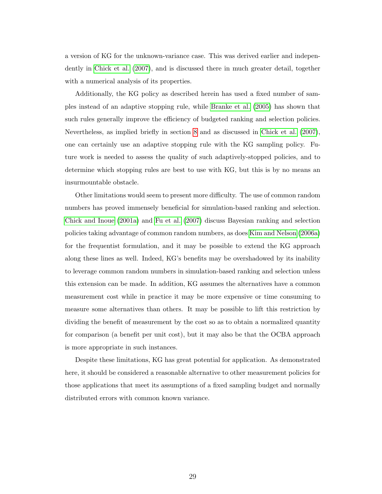<span id="page-28-0"></span>a version of KG for the unknown-variance case. This was derived earlier and independently in [Chick et al.](#page-41-6) [\(2007\)](#page-41-6), and is discussed there in much greater detail, together with a numerical analysis of its properties.

Additionally, the KG policy as described herein has used a fixed number of samples instead of an adaptive stopping rule, while [Branke et al.](#page-40-4) [\(2005\)](#page-40-4) has shown that such rules generally improve the efficiency of budgeted ranking and selection policies. Nevertheless, as implied briefly in section [8](#page-23-0) and as discussed in [Chick et al.](#page-41-6) [\(2007\)](#page-41-6), one can certainly use an adaptive stopping rule with the KG sampling policy. Future work is needed to assess the quality of such adaptively-stopped policies, and to determine which stopping rules are best to use with KG, but this is by no means an insurmountable obstacle.

Other limitations would seem to present more difficulty. The use of common random numbers has proved immensely beneficial for simulation-based ranking and selection. [Chick and Inoue](#page-41-7) [\(2001a\)](#page-41-7) and [Fu et al.](#page-41-8) [\(2007\)](#page-41-8) discuss Bayesian ranking and selection policies taking advantage of common random numbers, as does [Kim and Nelson](#page-42-9) [\(2006a\)](#page-42-9) for the frequentist formulation, and it may be possible to extend the KG approach along these lines as well. Indeed, KG's benefits may be overshadowed by its inability to leverage common random numbers in simulation-based ranking and selection unless this extension can be made. In addition, KG assumes the alternatives have a common measurement cost while in practice it may be more expensive or time consuming to measure some alternatives than others. It may be possible to lift this restriction by dividing the benefit of measurement by the cost so as to obtain a normalized quantity for comparison (a benefit per unit cost), but it may also be that the OCBA approach is more appropriate in such instances.

Despite these limitations, KG has great potential for application. As demonstrated here, it should be considered a reasonable alternative to other measurement policies for those applications that meet its assumptions of a fixed sampling budget and normally distributed errors with common known variance.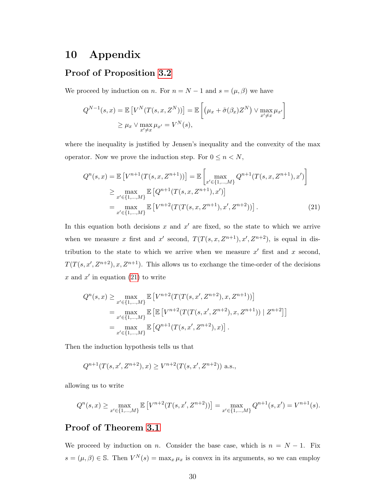### 10 Appendix

### Proof of Proposition [3.2](#page-10-0)

We proceed by induction on n. For  $n = N - 1$  and  $s = (\mu, \beta)$  we have

$$
Q^{N-1}(s,x) = \mathbb{E}\left[V^N(T(s,x,Z^N))\right] = \mathbb{E}\left[\left(\mu_x + \tilde{\sigma}(\beta_x)Z^N\right) \vee \max_{x' \neq x} \mu_{x'}\right]
$$

$$
\geq \mu_x \vee \max_{x' \neq x} \mu_{x'} = V^N(s),
$$

where the inequality is justified by Jensen's inequality and the convexity of the max operator. Now we prove the induction step. For  $0 \leq n < N$ ,

<span id="page-29-0"></span>
$$
Q^{n}(s,x) = \mathbb{E}\left[V^{n+1}(T(s,x,Z^{n+1}))\right] = \mathbb{E}\left[\max_{x' \in \{1,\ldots,M\}} Q^{n+1}(T(s,x,Z^{n+1}),x')\right]
$$
  
\n
$$
\geq \max_{x' \in \{1,\ldots,M\}} \mathbb{E}\left[Q^{n+1}(T(s,x,Z^{n+1}),x')\right]
$$
  
\n
$$
= \max_{x' \in \{1,\ldots,M\}} \mathbb{E}\left[V^{n+2}(T(T(s,x,Z^{n+1}),x',Z^{n+2}))\right].
$$
 (21)

In this equation both decisions x and  $x'$  are fixed, so the state to which we arrive when we measure x first and x' second,  $T(T(s, x, Z^{n+1}), x', Z^{n+2})$ , is equal in distribution to the state to which we arrive when we measure  $x'$  first and x second,  $T(T(s, x', Z^{n+2}), x, Z^{n+1})$ . This allows us to exchange the time-order of the decisions x and  $x'$  in equation [\(21\)](#page-29-0) to write

$$
Q^{n}(s,x) \geq \max_{x' \in \{1,\dots,M\}} \mathbb{E}\left[V^{n+2}(T(T(s,x',Z^{n+2}),x,Z^{n+1}))\right]
$$
  
= 
$$
\max_{x' \in \{1,\dots,M\}} \mathbb{E}\left[\mathbb{E}\left[V^{n+2}(T(T(s,x',Z^{n+2}),x,Z^{n+1})) \mid Z^{n+2}\right]\right]
$$
  
= 
$$
\max_{x' \in \{1,\dots,M\}} \mathbb{E}\left[Q^{n+1}(T(s,x',Z^{n+2}),x)\right].
$$

Then the induction hypothesis tells us that

$$
Q^{n+1}(T(s, x', Z^{n+2}), x) \ge V^{n+2}(T(s, x', Z^{n+2})) \text{ a.s.},
$$

allowing us to write

$$
Q^{n}(s,x) \ge \max_{x' \in \{1,\ldots,M\}} \mathbb{E}\left[V^{n+2}(T(s,x',Z^{n+2}))\right] = \max_{x' \in \{1,\ldots,M\}} Q^{n+1}(s,x') = V^{n+1}(s).
$$

### Proof of Theorem [3.1](#page-11-2)

We proceed by induction on n. Consider the base case, which is  $n = N - 1$ . Fix  $s = (\mu, \beta) \in \mathbb{S}$ . Then  $V^N(s) = \max_x \mu_x$  is convex in its arguments, so we can employ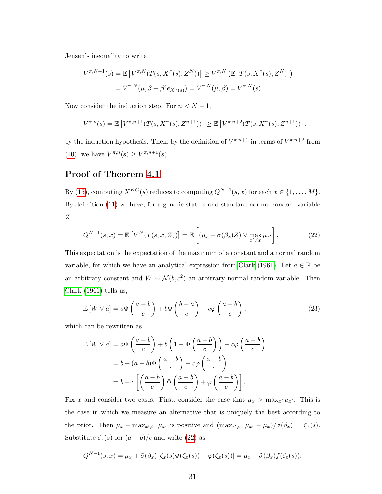<span id="page-30-2"></span>Jensen's inequality to write

$$
V^{\pi, N-1}(s) = \mathbb{E}\left[V^{\pi, N}(T(s, X^{\pi}(s), Z^N))\right] \geq V^{\pi, N}\left(\mathbb{E}\left[T(s, X^{\pi}(s), Z^N)\right]\right)
$$

$$
= V^{\pi, N}(\mu, \beta + \beta^{\epsilon} e_{X^{\pi}(s)}) = V^{\pi, N}(\mu, \beta) = V^{\pi, N}(s).
$$

Now consider the induction step. For  $n < N - 1$ ,

$$
V^{\pi,n}(s) = \mathbb{E}\left[V^{\pi,n+1}(T(s,X^{\pi}(s),Z^{n+1}))\right] \geq \mathbb{E}\left[V^{\pi,n+2}(T(s,X^{\pi}(s),Z^{n+1}))\right],
$$

by the induction hypothesis. Then, by the definition of  $V^{\pi,n+1}$  in terms of  $V^{\pi,n+2}$  from [\(10\)](#page-10-4), we have  $V^{\pi,n}(s) \geq V^{\pi,n+1}(s)$ .

### Proof of Theorem [4.1](#page-13-3)

By [\(15\)](#page-12-1), computing  $X^{KG}(s)$  reduces to computing  $Q^{N-1}(s, x)$  for each  $x \in \{1, ..., M\}$ . By definition  $(11)$  we have, for a generic state s and standard normal random variable Z,

<span id="page-30-0"></span>
$$
Q^{N-1}(s,x) = \mathbb{E}\left[V^N(T(s,x,Z))\right] = \mathbb{E}\left[\left(\mu_x + \tilde{\sigma}(\beta_x)Z\right) \vee \max_{x' \neq x} \mu_{x'}\right].\tag{22}
$$

This expectation is the expectation of the maximum of a constant and a normal random variable, for which we have an analytical expression from [Clark](#page-41-9) [\(1961\)](#page-41-9). Let  $a \in \mathbb{R}$  be an arbitrary constant and  $W \sim \mathcal{N}(b, c^2)$  an arbitrary normal random variable. Then [Clark](#page-41-9) [\(1961\)](#page-41-9) tells us,

<span id="page-30-1"></span>
$$
\mathbb{E}\left[W \vee a\right] = a\Phi\left(\frac{a-b}{c}\right) + b\Phi\left(\frac{b-a}{c}\right) + c\varphi\left(\frac{a-b}{c}\right),\tag{23}
$$

which can be rewritten as

$$
\mathbb{E}\left[W \vee a\right] = a\Phi\left(\frac{a-b}{c}\right) + b\left(1 - \Phi\left(\frac{a-b}{c}\right)\right) + c\varphi\left(\frac{a-b}{c}\right)
$$

$$
= b + (a-b)\Phi\left(\frac{a-b}{c}\right) + c\varphi\left(\frac{a-b}{c}\right)
$$

$$
= b + c\left[\left(\frac{a-b}{c}\right)\Phi\left(\frac{a-b}{c}\right) + \varphi\left(\frac{a-b}{c}\right)\right].
$$

Fix x and consider two cases. First, consider the case that  $\mu_x > \max_{x'} \mu_{x'}$ . This is the case in which we measure an alternative that is uniquely the best according to the prior. Then  $\mu_x - \max_{x'\neq x} \mu_{x'}$  is positive and  $(\max_{x'\neq x} \mu_{x'} - \mu_x)/\tilde{\sigma}(\beta_x) = \zeta_x(s)$ . Substitute  $\zeta_x(s)$  for  $(a - b)/c$  and write [\(22\)](#page-30-0) as

$$
Q^{N-1}(s,x) = \mu_x + \tilde{\sigma}(\beta_x) [\zeta_x(s)\Phi(\zeta_x(s)) + \varphi(\zeta_x(s))] = \mu_x + \tilde{\sigma}(\beta_x)f(\zeta_x(s)),
$$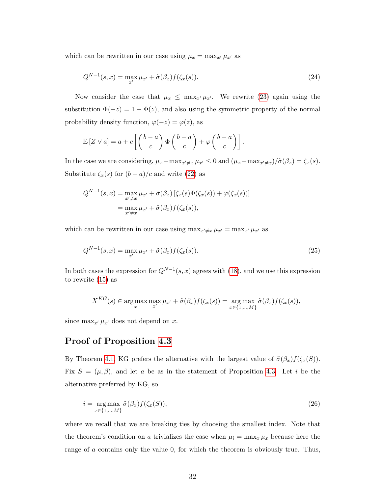which can be rewritten in our case using  $\mu_x = \max_{x'} \mu_{x'}$  as

<span id="page-31-1"></span>
$$
Q^{N-1}(s,x) = \max_{x'} \mu_{x'} + \tilde{\sigma}(\beta_x) f(\zeta_x(s)).
$$
\n(24)

Now consider the case that  $\mu_x \leq \max_{x'} \mu_{x'}$ . We rewrite [\(23\)](#page-30-1) again using the substitution  $\Phi(-z) = 1 - \Phi(z)$ , and also using the symmetric property of the normal probability density function,  $\varphi(-z) = \varphi(z)$ , as

$$
\mathbb{E}\left[Z \vee a\right] = a + c \left[ \left(\frac{b-a}{c}\right) \Phi\left(\frac{b-a}{c}\right) + \varphi\left(\frac{b-a}{c}\right) \right].
$$

In the case we are considering,  $\mu_x - \max_{x'\neq x} \mu_{x'} \leq 0$  and  $(\mu_x - \max_{x'\neq x})/\tilde{\sigma}(\beta_x) = \zeta_x(s)$ . Substitute  $\zeta_x(s)$  for  $(b-a)/c$  and write [\(22\)](#page-30-0) as

$$
Q^{N-1}(s,x) = \max_{x' \neq x} \mu_{x'} + \tilde{\sigma}(\beta_x) \left[ \zeta_x(s) \Phi(\zeta_x(s)) + \varphi(\zeta_x(s)) \right]
$$

$$
= \max_{x' \neq x} \mu_{x'} + \tilde{\sigma}(\beta_x) f(\zeta_x(s)),
$$

which can be rewritten in our case using  $\max_{x'\neq x} \mu_{x'} = \max_{x'} \mu_{x'}$  as

$$
Q^{N-1}(s,x) = \max_{x'} \mu_{x'} + \tilde{\sigma}(\beta_x) f(\zeta_x(s)).
$$
\n(25)

In both cases the expression for  $Q^{N-1}(s, x)$  agrees with [\(18\)](#page-13-1), and we use this expression to rewrite [\(15\)](#page-12-1) as

$$
X^{KG}(s) \in \arg\max_{x} \max_{x'} \mu_{x'} + \tilde{\sigma}(\beta_x) f(\zeta_x(s)) = \arg\max_{x \in \{1, ..., M\}} \tilde{\sigma}(\beta_x) f(\zeta_x(s)),
$$

since  $\max_{x'} \mu_{x'}$  does not depend on x.

### Proof of Proposition [4.3](#page-15-3)

By Theorem [4.1,](#page-13-3) KG prefers the alternative with the largest value of  $\tilde{\sigma}(\beta_x) f(\zeta_x(S))$ . Fix  $S = (\mu, \beta)$ , and let a be as in the statement of Proposition [4.3.](#page-15-3) Let i be the alternative preferred by KG, so

<span id="page-31-0"></span>
$$
i = \underset{x \in \{1, \ldots, M\}}{\arg \max} \tilde{\sigma}(\beta_x) f(\zeta_x(S)), \tag{26}
$$

where we recall that we are breaking ties by choosing the smallest index. Note that the theorem's condition on a trivializes the case when  $\mu_i = \max_x \mu_x$  because here the range of a contains only the value 0, for which the theorem is obviously true. Thus,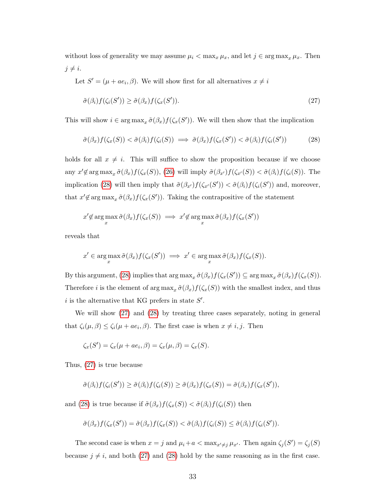without loss of generality we may assume  $\mu_i < \max_x \mu_x$ , and let  $j \in \arg \max_x \mu_x$ . Then  $j \neq i$ .

Let  $S' = (\mu + ae_i, \beta)$ . We will show first for all alternatives  $x \neq i$ 

<span id="page-32-1"></span><span id="page-32-0"></span>
$$
\tilde{\sigma}(\beta_i) f(\zeta_i(S')) \ge \tilde{\sigma}(\beta_x) f(\zeta_x(S')). \tag{27}
$$

This will show  $i \in \arg \max_x \tilde{\sigma}(\beta_x) f(\zeta_x(S'))$ . We will then show that the implication

$$
\tilde{\sigma}(\beta_x)f(\zeta_x(S)) < \tilde{\sigma}(\beta_i)f(\zeta_i(S)) \implies \tilde{\sigma}(\beta_x)f(\zeta_x(S')) < \tilde{\sigma}(\beta_i)f(\zeta_i(S')) \tag{28}
$$

holds for all  $x \neq i$ . This will suffice to show the proposition because if we choose any  $x' \notin \arg \max_x \tilde{\sigma}(\beta_x) f(\zeta_x(S)),$  [\(26\)](#page-31-0) will imply  $\tilde{\sigma}(\beta_{x'}) f(\zeta_{x'}(S)) < \tilde{\sigma}(\beta_i) f(\zeta_i(S)).$  The implication [\(28\)](#page-32-0) will then imply that  $\tilde{\sigma}(\beta_{x'}) f(\zeta_{x'}(S')) < \tilde{\sigma}(\beta_i) f(\zeta_i(S'))$  and, moreover, that  $x' \notin \arg \max_x \tilde{\sigma}(\beta_x) f(\zeta_x(S'))$ . Taking the contrapositive of the statement

$$
x' \notin \argmax_{x} \tilde{\sigma}(\beta_x) f(\zeta_x(S)) \implies x' \notin \argmax_{x} \tilde{\sigma}(\beta_x) f(\zeta_x(S'))
$$

reveals that

$$
x' \in \argmax_{x} \tilde{\sigma}(\beta_x) f(\zeta_x(S')) \implies x' \in \argmax_{x} \tilde{\sigma}(\beta_x) f(\zeta_x(S)).
$$

By this argument, [\(28\)](#page-32-0) implies that  $\arg \max_x \tilde{\sigma}(\beta_x) f(\zeta_x(S')) \subseteq \arg \max_x \tilde{\sigma}(\beta_x) f(\zeta_x(S)).$ Therefore *i* is the element of  $\arg \max_x \tilde{\sigma}(\beta_x) f(\zeta_x(S))$  with the smallest index, and thus i is the alternative that KG prefers in state  $S'$ .

We will show [\(27\)](#page-32-1) and [\(28\)](#page-32-0) by treating three cases separately, noting in general that  $\zeta_i(\mu, \beta) \leq \zeta_i(\mu + ae_i, \beta)$ . The first case is when  $x \neq i, j$ . Then

$$
\zeta_x(S') = \zeta_x(\mu + ae_i, \beta) = \zeta_x(\mu, \beta) = \zeta_x(S).
$$

Thus, [\(27\)](#page-32-1) is true because

$$
\tilde{\sigma}(\beta_i) f(\zeta_i(S')) \geq \tilde{\sigma}(\beta_i) f(\zeta_i(S)) \geq \tilde{\sigma}(\beta_x) f(\zeta_x(S)) = \tilde{\sigma}(\beta_x) f(\zeta_x(S')),
$$

and [\(28\)](#page-32-0) is true because if  $\tilde{\sigma}(\beta_x)f(\zeta_x(S)) < \tilde{\sigma}(\beta_i)f(\zeta_i(S))$  then

$$
\tilde{\sigma}(\beta_x) f(\zeta_x(S')) = \tilde{\sigma}(\beta_x) f(\zeta_x(S)) < \tilde{\sigma}(\beta_i) f(\zeta_i(S)) \leq \tilde{\sigma}(\beta_i) f(\zeta_i(S')).
$$

The second case is when  $x = j$  and  $\mu_i + a < \max_{x' \neq j} \mu_{x'}$ . Then again  $\zeta_j(S') = \zeta_j(S)$ because  $j \neq i$ , and both [\(27\)](#page-32-1) and [\(28\)](#page-32-0) hold by the same reasoning as in the first case.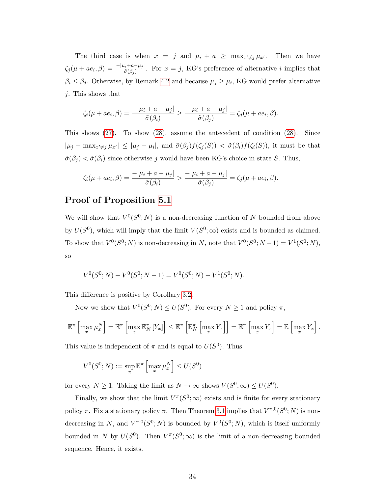The third case is when  $x = j$  and  $\mu_i + a \ge \max_{x' \ne j} \mu_{x'}$ . Then we have  $\zeta_j(\mu + ae_i, \beta) = \frac{-\mu_i + a - \mu_j}{\tilde{\sigma}(\beta_j)}$ . For  $x = j$ , KG's preference of alternative i implies that  $\beta_i \leq \beta_j$ . Otherwise, by Remark [4.2](#page-14-0) and because  $\mu_j \geq \mu_i$ , KG would prefer alternative j. This shows that

$$
\zeta_i(\mu+ae_i,\beta)=\frac{-|\mu_i+a-\mu_j|}{\tilde{\sigma}(\beta_i)}\geq \frac{-|\mu_i+a-\mu_j|}{\tilde{\sigma}(\beta_j)}=\zeta_j(\mu+ae_i,\beta).
$$

This shows [\(27\)](#page-32-1). To show [\(28\)](#page-32-0), assume the antecedent of condition [\(28\)](#page-32-0). Since  $|\mu_j - \max_{x' \neq j} \mu_{x'}| \leq |\mu_j - \mu_i|$ , and  $\tilde{\sigma}(\beta_j) f(\zeta_j(S)) < \tilde{\sigma}(\beta_i) f(\zeta_i(S))$ , it must be that  $\tilde{\sigma}(\beta_j) < \tilde{\sigma}(\beta_i)$  since otherwise j would have been KG's choice in state S. Thus,

$$
\zeta_i(\mu+ae_i,\beta)=\frac{-|\mu_i+a-\mu_j|}{\tilde{\sigma}(\beta_i)}>\frac{-|\mu_i+a-\mu_j|}{\tilde{\sigma}(\beta_j)}=\zeta_j(\mu+ae_i,\beta).
$$

### Proof of Proposition [5.1](#page-17-0)

We will show that  $V^0(S^0; N)$  is a non-decreasing function of N bounded from above by  $U(S^0)$ , which will imply that the limit  $V(S^0; \infty)$  exists and is bounded as claimed. To show that  $V^0(S^0; N)$  is non-decreasing in N, note that  $V^0(S^0; N-1) = V^1(S^0; N)$ , so

$$
V^{0}(S^{0}; N) - V^{0}(S^{0}; N - 1) = V^{0}(S^{0}; N) - V^{1}(S^{0}; N).
$$

This difference is positive by Corollary [3.2.](#page-11-1)

Now we show that  $V^0(S^0; N) \leq U(S^0)$ . For every  $N \geq 1$  and policy  $\pi$ ,

$$
\mathbb{E}^{\pi}\left[\max_{x} \mu_x^N\right] = \mathbb{E}^{\pi}\left[\max_{x} \mathbb{E}_N^{\pi}\left[Y_x\right]\right] \leq \mathbb{E}^{\pi}\left[\mathbb{E}_N^{\pi}\left[\max_{x} Y_x\right]\right] = \mathbb{E}^{\pi}\left[\max_{x} Y_x\right] = \mathbb{E}\left[\max_{x} Y_x\right].
$$

This value is independent of  $\pi$  and is equal to  $U(S^0)$ . Thus

$$
V^0(S^0; N) := \sup_{\pi} \mathbb{E}^{\pi} \left[ \max_{x} \mu_x^N \right] \le U(S^0)
$$

for every  $N \ge 1$ . Taking the limit as  $N \to \infty$  shows  $V(S^0; \infty) \le U(S^0)$ .

Finally, we show that the limit  $V^{\pi}(S^0; \infty)$  exists and is finite for every stationary policy  $\pi$ . Fix a stationary policy  $\pi$ . Then Theorem [3.1](#page-11-2) implies that  $V^{\pi,0}(S^0;N)$  is nondecreasing in N, and  $V^{\pi,0}(S^0;N)$  is bounded by  $V^0(S^0;N)$ , which is itself uniformly bounded in N by  $U(S^0)$ . Then  $V^{\pi}(S^0; \infty)$  is the limit of a non-decreasing bounded sequence. Hence, it exists.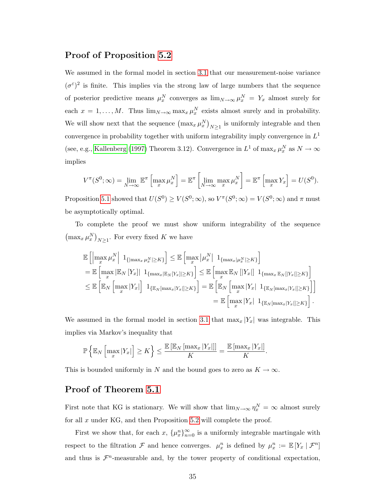#### <span id="page-34-0"></span>Proof of Proposition [5.2](#page-18-1)

We assumed in the formal model in section [3.1](#page-5-1) that our measurement-noise variance  $(\sigma^{\varepsilon})^2$  is finite. This implies via the strong law of large numbers that the sequence of posterior predictive means  $\mu_x^N$  converges as  $\lim_{N\to\infty}\mu_x^N = Y_x$  almost surely for each  $x = 1, ..., M$ . Thus  $\lim_{N \to \infty} \max_x \mu_x^N$  exists almost surely and in probability. We will show next that the sequence  $(\max_x \mu_x^N)_{N\geq 1}$  is uniformly integrable and then convergence in probability together with uniform integrability imply convergence in  $L^1$ (see, e.g., [Kallenberg](#page-42-10) [\(1997\)](#page-42-10) Theorem 3.12). Convergence in  $L^1$  of  $\max_x \mu_x^N$  as  $N \to \infty$ implies

$$
V^{\pi}(S^{0}; \infty) = \lim_{N \to \infty} \mathbb{E}^{\pi} \left[ \max_{x} \mu_{x}^{N} \right] = \mathbb{E}^{\pi} \left[ \lim_{N \to \infty} \max_{x} \mu_{x}^{N} \right] = \mathbb{E}^{\pi} \left[ \max_{x} Y_{x} \right] = U(S^{0}).
$$

Proposition [5.1](#page-17-0) showed that  $U(S^0) \geq V(S^0; \infty)$ , so  $V^{\pi}(S^0; \infty) = V(S^0; \infty)$  and  $\pi$  must be asymptotically optimal.

To complete the proof we must show uniform integrability of the sequence  $\left(\max_x \mu_x^N\right)_{N\geq 1}$ . For every fixed K we have

$$
\mathbb{E}\left[\left|\max_{x} \mu_{x}^{N}\right| 1_{\left\{\left|\max_{x} \mu_{x}^{N}\right| \geq K\right\}}\right] \leq \mathbb{E}\left[\max_{x} |\mu_{x}^{N}| 1_{\left\{\max_{x} |\mu_{x}^{N}\right| \geq K\right\}}\right]
$$
\n
$$
= \mathbb{E}\left[\max_{x} |\mathbb{E}_{N}\left[Y_{x}\right]| 1_{\left\{\max_{x} |\mathbb{E}_{N}\left[Y_{x}\right]| \geq K\right\}}\right] \leq \mathbb{E}\left[\max_{x} |\mathbb{E}_{N}\left[\left|Y_{x}\right|\right] 1_{\left\{\max_{x} \mathbb{E}_{N}\left[\left|Y_{x}\right|\right| \geq K\right\}}\right]
$$
\n
$$
\leq \mathbb{E}\left[\mathbb{E}_{N}\left[\max_{x} |Y_{x}|\right] 1_{\left\{\mathbb{E}_{N}\left[\max_{x} |Y_{x}\right|\right\} \geq K\right\}}\right] = \mathbb{E}\left[\mathbb{E}_{N}\left[\max_{x} |Y_{x}| 1_{\left\{\mathbb{E}_{N}\left[\max_{x} |Y_{x}\right|\right\} \geq K\right\}}\right]
$$
\n
$$
= \mathbb{E}\left[\max_{x} |Y_{x}| 1_{\left\{\mathbb{E}_{N}\left[\max_{x} |Y_{x}\right|\right\} \geq K\right\}}\right].
$$

We assumed in the formal model in section [3.1](#page-5-1) that  $\max_x |Y_x|$  was integrable. This implies via Markov's inequality that

$$
\mathbb{P}\left\{\mathbb{E}_N\left[\max_x |Y_x|\right] \geq K\right\} \leq \frac{\mathbb{E}\left[\mathbb{E}_N\left[\max_x |Y_x|\right]\right]}{K} = \frac{\mathbb{E}\left[\max_x |Y_x|\right]}{K}.
$$

This is bounded uniformly in N and the bound goes to zero as  $K \to \infty$ .

### Proof of Theorem [5.1](#page-18-2)

First note that KG is stationary. We will show that  $\lim_{N\to\infty} \eta_x^N = \infty$  almost surely for all  $x$  under KG, and then Proposition [5.2](#page-18-1) will complete the proof.

First we show that, for each  $x$ ,  $\{\mu_x^n\}_{n=0}^{\infty}$  is a uniformly integrable martingale with respect to the filtration  $\mathcal F$  and hence converges.  $\mu_x^n$  is defined by  $\mu_x^n := \mathbb E[Y_x | \mathcal F^n]$ and thus is  $\mathcal{F}^n$ -measurable and, by the tower property of conditional expectation,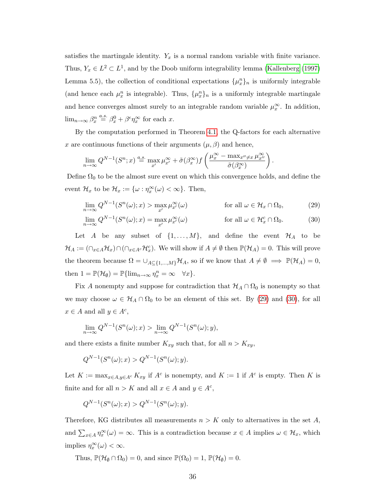<span id="page-35-2"></span>satisfies the martingale identity.  $Y_x$  is a normal random variable with finite variance. Thus,  $Y_x \in L^2 \subset L^1$ , and by the Doob uniform integrability lemma [\(Kallenberg](#page-42-10) [\(1997\)](#page-42-10) Lemma 5.5), the collection of conditional expectations  $\{\mu_x^n\}_n$  is uniformly integrable (and hence each  $\mu_x^n$  is integrable). Thus,  $\{\mu_x^n\}_n$  is a uniformly integrable martingale and hence converges almost surely to an integrable random variable  $\mu_x^{\infty}$ . In addition,  $\lim_{n\to\infty}\beta_x^n \stackrel{a.s.}{=} \beta_x^0 + \beta^{\epsilon}\eta_x^{\infty}$  for each x.

By the computation performed in Theorem [4.1,](#page-13-3) the Q-factors for each alternative x are continuous functions of their arguments  $(\mu, \beta)$  and hence,

$$
\lim_{n \to \infty} Q^{N-1}(S^n; x) \stackrel{a.s.}{=} \max_{x'} \mu_{x'}^{\infty} + \tilde{\sigma}(\beta_x^{\infty}) f\left(\frac{\mu_x^{\infty} - \max_{x'' \neq x} \mu_{x''}^{\infty}}{\tilde{\sigma}(\beta_x^{\infty})}\right).
$$

Define  $\Omega_0$  to be the almost sure event on which this convergence holds, and define the event  $\mathcal{H}_x$  to be  $\mathcal{H}_x := \{ \omega : \eta_x^{\infty}(\omega) < \infty \}.$  Then,

<span id="page-35-1"></span><span id="page-35-0"></span>
$$
\lim_{n \to \infty} Q^{N-1}(S^n(\omega); x) > \max_{x'} \mu_{x'}^{\infty}(\omega) \qquad \text{for all } \omega \in \mathcal{H}_x \cap \Omega_0,
$$
 (29)

$$
\lim_{n \to \infty} Q^{N-1}(S^n(\omega); x) = \max_{x'} \mu_{x'}^{\infty}(\omega) \qquad \text{for all } \omega \in \mathcal{H}_x^c \cap \Omega_0.
$$
 (30)

Let A be any subset of  $\{1, \ldots, M\}$ , and define the event  $\mathcal{H}_A$  to be  $\mathcal{H}_A := (\cap_{x \in A} \mathcal{H}_x) \cap (\cap_{x \in A^c} \mathcal{H}_x^c)$ . We will show if  $A \neq \emptyset$  then  $\mathbb{P}(\mathcal{H}_A) = 0$ . This will prove the theorem because  $\Omega = \cup_{A \subseteq \{1,\dots,M\}} \mathcal{H}_A$ , so if we know that  $A \neq \emptyset \implies \mathbb{P}(\mathcal{H}_A) = 0$ , then  $1 = \mathbb{P}(\mathcal{H}_{\emptyset}) = \mathbb{P}\{\lim_{n \to \infty} \eta_x^n = \infty \quad \forall x\}.$ 

Fix A nonempty and suppose for contradiction that  $\mathcal{H}_A \cap \Omega_0$  is nonempty so that we may choose  $\omega \in \mathcal{H}_A \cap \Omega_0$  to be an element of this set. By [\(29\)](#page-35-0) and [\(30\)](#page-35-1), for all  $x \in A$  and all  $y \in A^c$ ,

$$
\lim_{n \to \infty} Q^{N-1}(S^n(\omega); x) > \lim_{n \to \infty} Q^{N-1}(S^n(\omega); y),
$$

and there exists a finite number  $K_{xy}$  such that, for all  $n > K_{xy}$ ,

$$
Q^{N-1}(S^{n}(\omega); x) > Q^{N-1}(S^{n}(\omega); y).
$$

Let  $K := \max_{x \in A, y \in A^c} K_{xy}$  if  $A^c$  is nonempty, and  $K := 1$  if  $A^c$  is empty. Then K is finite and for all  $n > K$  and all  $x \in A$  and  $y \in A^c$ ,

$$
Q^{N-1}(S^n(\omega);x) > Q^{N-1}(S^n(\omega);y).
$$

Therefore, KG distributes all measurements  $n > K$  only to alternatives in the set A, and  $\sum_{x \in A} \eta_x^{\infty}(\omega) = \infty$ . This is a contradiction because  $x \in A$  implies  $\omega \in \mathcal{H}_x$ , which implies  $\eta_x^{\infty}(\omega) < \infty$ .

Thus,  $\mathbb{P}(\mathcal{H}_{\emptyset} \cap \Omega_0) = 0$ , and since  $\mathbb{P}(\Omega_0) = 1$ ,  $\mathbb{P}(\mathcal{H}_{\emptyset}) = 0$ .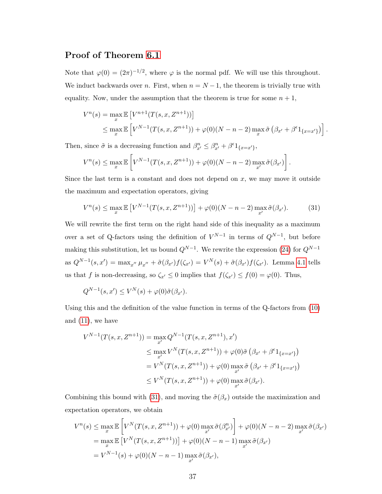### Proof of Theorem [6.1](#page-18-3)

Note that  $\varphi(0) = (2\pi)^{-1/2}$ , where  $\varphi$  is the normal pdf. We will use this throughout. We induct backwards over n. First, when  $n = N - 1$ , the theorem is trivially true with equality. Now, under the assumption that the theorem is true for some  $n + 1$ ,

$$
V^{n}(s) = \max_{x} \mathbb{E}\left[V^{n+1}(T(s, x, Z^{n+1}))\right]
$$
  
\$\leq \max\_{x} \mathbb{E}\left[V^{N-1}(T(s, x, Z^{n+1})) + \varphi(0)(N - n - 2) \max\_{x} \tilde{\sigma}\left(\beta\_{x'} + \beta^{\epsilon} 1\_{\{x = x'\}}\right)\right].

Then, since  $\tilde{\sigma}$  is a decreasing function and  $\beta_{x'}^n \leq \beta_{x'}^n + \beta^{\epsilon} 1_{\{x = x'\}}$ ,

$$
V^{n}(s) \leq \max_{x} \mathbb{E}\left[V^{N-1}(T(s,x,Z^{n+1})) + \varphi(0)(N-n-2)\max_{x'}\tilde{\sigma}(\beta_{x'})\right].
$$

Since the last term is a constant and does not depend on  $x$ , we may move it outside the maximum and expectation operators, giving

<span id="page-36-0"></span>
$$
V^{n}(s) \le \max_{x} \mathbb{E}\left[V^{N-1}(T(s,x,Z^{n+1}))\right] + \varphi(0)(N-n-2)\max_{x'} \tilde{\sigma}(\beta_{x'}).
$$
 (31)

We will rewrite the first term on the right hand side of this inequality as a maximum over a set of Q-factors using the definition of  $V^{N-1}$  in terms of  $Q^{N-1}$ , but before making this substitution, let us bound  $Q^{N-1}$ . We rewrite the expression [\(24\)](#page-31-1) for  $Q^{N-1}$ as  $Q^{N-1}(s, x') = \max_{x''} \mu_{x''} + \tilde{\sigma}(\beta_{x'}) f(\zeta_{x'}) = V^N(s) + \tilde{\sigma}(\beta_{x'}) f(\zeta_{x'})$ . Lemma [4.1](#page-15-2) tells us that f is non-decreasing, so  $\zeta_{x'} \leq 0$  implies that  $f(\zeta_{x'}) \leq f(0) = \varphi(0)$ . Thus,

$$
Q^{N-1}(s,x') \le V^N(s) + \varphi(0)\tilde{\sigma}(\beta_{x'}).
$$

Using this and the definition of the value function in terms of the Q-factors from [\(10\)](#page-10-4) and [\(11\)](#page-10-5), we have

$$
V^{N-1}(T(s, x, Z^{n+1})) = \max_{x'} Q^{N-1}(T(s, x, Z^{n+1}), x')
$$
  
\n
$$
\leq \max_{x'} V^N(T(s, x, Z^{n+1})) + \varphi(0)\tilde{\sigma}(\beta_{x'} + \beta^{\epsilon_1}_{\{x=x'\}})
$$
  
\n
$$
= V^N(T(s, x, Z^{n+1})) + \varphi(0) \max_{x'} \tilde{\sigma}(\beta_{x'} + \beta^{\epsilon_1}_{\{x=x'\}})
$$
  
\n
$$
\leq V^N(T(s, x, Z^{n+1})) + \varphi(0) \max_{x'} \tilde{\sigma}(\beta_{x'}).
$$

Combining this bound with [\(31\)](#page-36-0), and moving the  $\tilde{\sigma}(\beta_x)$  outside the maximization and expectation operators, we obtain

$$
V^{n}(s) \leq \max_{x} \mathbb{E}\left[V^{N}(T(s,x,Z^{n+1})) + \varphi(0) \max_{x'} \tilde{\sigma}(\beta_{x'}^{n})\right] + \varphi(0)(N-n-2) \max_{x'} \tilde{\sigma}(\beta_{x'})
$$
  
=  $\max_{x} \mathbb{E}\left[V^{N}(T(s,x,Z^{n+1}))\right] + \varphi(0)(N-n-1) \max_{x'} \tilde{\sigma}(\beta_{x'})$   
=  $V^{N-1}(s) + \varphi(0)(N-n-1) \max_{x'} \tilde{\sigma}(\beta_{x'}),$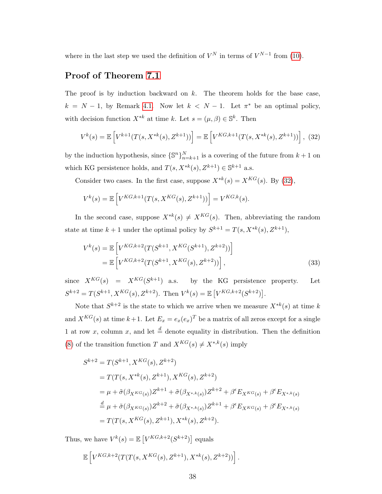where in the last step we used the definition of  $V^N$  in terms of  $V^{N-1}$  from [\(10\)](#page-10-4).

### Proof of Theorem [7.1](#page-19-1)

The proof is by induction backward on  $k$ . The theorem holds for the base case,  $k = N - 1$ , by Remark [4.1.](#page-12-3) Now let  $k < N - 1$ . Let  $\pi^*$  be an optimal policy, with decision function  $X^{*k}$  at time k. Let  $s = (\mu, \beta) \in \mathbb{S}^k$ . Then

<span id="page-37-0"></span>
$$
V^{k}(s) = \mathbb{E}\left[V^{k+1}(T(s, X^{*k}(s), Z^{k+1}))\right] = \mathbb{E}\left[V^{KG, k+1}(T(s, X^{*k}(s), Z^{k+1}))\right], (32)
$$

by the induction hypothesis, since  $\{\mathbb{S}^n\}_{n=k+1}^N$  is a covering of the future from  $k+1$  on which KG persistence holds, and  $T(s, X^{*k}(s), Z^{k+1}) \in \mathbb{S}^{k+1}$  a.s.

Consider two cases. In the first case, suppose  $X^{*k}(s) = X^{KG}(s)$ . By [\(32\)](#page-37-0),

$$
V^{k}(s) = \mathbb{E}\left[V^{KG,k+1}(T(s, X^{KG}(s), Z^{k+1}))\right] = V^{KG,k}(s).
$$

In the second case, suppose  $X^{*k}(s) \neq X^{KG}(s)$ . Then, abbreviating the random state at time  $k+1$  under the optimal policy by  $S^{k+1} = T(s, X^{*k}(s), Z^{k+1}),$ 

$$
V^{k}(s) = \mathbb{E}\left[V^{KG,k+2}(T(S^{k+1}, X^{KG}(S^{k+1}), Z^{k+2}))\right]
$$
  
=  $\mathbb{E}\left[V^{KG,k+2}(T(S^{k+1}, X^{KG}(s), Z^{k+2}))\right],$  (33)

since  $X^{KG}(s) = X^{KG}(S^{k+1})$  a.s. by the KG persistence property. Let  $S^{k+2} = T(S^{k+1}, X^{KG}(s), Z^{k+2})$ . Then  $V^k(s) = \mathbb{E} \left[ V^{KG, k+2}(S^{k+2}) \right]$ .

Note that  $S^{k+2}$  is the state to which we arrive when we measure  $X^{*k}(s)$  at time k and  $X^{KG}(s)$  at time  $k+1$ . Let  $E_x = e_x(e_x)^T$  be a matrix of all zeros except for a single 1 at row x, column x, and let  $\stackrel{d}{=}$  denote equality in distribution. Then the definition [\(8\)](#page-9-0) of the transition function T and  $X^{KG}(s) \neq X^{*,k}(s)$  imply

$$
S^{k+2} = T(S^{k+1}, X^{KG}(s), Z^{k+2})
$$
  
=  $T(T(s, X^{*k}(s), Z^{k+1}), X^{KG}(s), Z^{k+2})$   
=  $\mu + \tilde{\sigma}(\beta_{X^{KG}(s)})Z^{k+1} + \tilde{\sigma}(\beta_{X^{*,k}(s)})Z^{k+2} + \beta^{\epsilon}E_{X^{KG}(s)} + \beta^{\epsilon}E_{X^{*,k}(s)}$   
 $\stackrel{d}{=} \mu + \tilde{\sigma}(\beta_{X^{KG}(s)})Z^{k+2} + \tilde{\sigma}(\beta_{X^{*,k}(s)})Z^{k+1} + \beta^{\epsilon}E_{X^{KG}(s)} + \beta^{\epsilon}E_{X^{*,k}(s)}$   
=  $T(T(s, X^{KG}(s), Z^{k+1}), X^{*k}(s), Z^{k+2}).$ 

Thus, we have  $V^k(s) = \mathbb{E}\left[V^{KG,k+2}(S^{k+2})\right]$  equals

$$
\mathbb{E}\left[V^{KG,k+2}(T(T(s,X^{KG}(s),Z^{k+1}),X^{*k}(s),Z^{k+2}))\right].
$$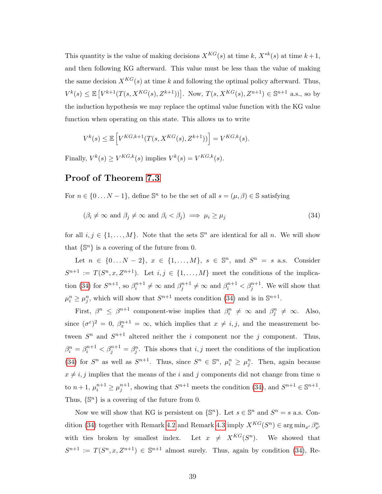This quantity is the value of making decisions  $X^{KG}(s)$  at time  $k, X^{*k}(s)$  at time  $k+1$ , and then following KG afterward. This value must be less than the value of making the same decision  $X^{KG}(s)$  at time k and following the optimal policy afterward. Thus,  $V^k(s) \leq \mathbb{E}\left[V^{k+1}(T(s, X^{KG}(s), Z^{k+1}))\right]$ . Now,  $T(s, X^{KG}(s), Z^{n+1}) \in \mathbb{S}^{n+1}$  a.s., so by the induction hypothesis we may replace the optimal value function with the KG value function when operating on this state. This allows us to write

$$
V^k(s) \le \mathbb{E}\left[V^{KG,k+1}(T(s,X^{KG}(s),Z^{k+1}))\right] = V^{KG,k}(s).
$$

Finally,  $V^k(s) \geq V^{KG,k}(s)$  implies  $V^k(s) = V^{KG,k}(s)$ .

#### Proof of Theorem [7.3](#page-22-0)

For  $n \in \{0...N-1\}$ , define  $\mathbb{S}^n$  to be the set of all  $s = (\mu, \beta) \in \mathbb{S}$  satisfying

<span id="page-38-0"></span>
$$
(\beta_i \neq \infty \text{ and } \beta_j \neq \infty \text{ and } \beta_i < \beta_j) \implies \mu_i \ge \mu_j \tag{34}
$$

for all  $i, j \in \{1, ..., M\}$ . Note that the sets  $\mathbb{S}^n$  are identical for all n. We will show that  $\{\mathbb{S}^n\}$  is a covering of the future from 0.

Let  $n \in \{0...N-2\}, x \in \{1,...,M\}, s \in \mathbb{S}^n, \text{ and } S^n = s \text{ a.s.}$  Consider  $S^{n+1} := T(S^n, x, Z^{n+1})$ . Let  $i, j \in \{1, ..., M\}$  meet the conditions of the implica-tion [\(34\)](#page-38-0) for  $S^{n+1}$ , so  $\beta_i^{n+1} \neq \infty$  and  $\beta_j^{n+1} \neq \infty$  and  $\beta_i^{n+1} < \beta_j^{n+1}$ . We will show that  $\mu_i^n \geq \mu_j^n$ , which will show that  $S^{n+1}$  meets condition [\(34\)](#page-38-0) and is in  $\mathbb{S}^{n+1}$ .

First,  $\beta^n \leq \beta^{n+1}$  component-wise implies that  $\beta_i^n \neq \infty$  and  $\beta_j^n \neq \infty$ . Also, since  $({\sigma}^{\varepsilon})^2 = 0$ ,  $\beta_x^{n+1} = \infty$ , which implies that  $x \neq i, j$ , and the measurement between  $S^n$  and  $S^{n+1}$  altered neither the *i* component nor the *j* component. Thus,  $\beta_i^n = \beta_i^{n+1} < \beta_j^{n+1} = \beta_j^n$ . This shows that  $i, j$  meet the conditions of the implication [\(34\)](#page-38-0) for  $S^n$  as well as  $S^{n+1}$ . Thus, since  $S^n \in \mathbb{S}^n$ ,  $\mu_i^n \geq \mu_j^n$ . Then, again because  $x \neq i, j$  implies that the means of the i and j components did not change from time n to  $n+1$ ,  $\mu_i^{n+1} \geq \mu_j^{n+1}$ , showing that  $S^{n+1}$  meets the condition [\(34\)](#page-38-0), and  $S^{n+1} \in \mathbb{S}^{n+1}$ . Thus,  $\{\mathbb{S}^n\}$  is a covering of the future from 0.

Now we will show that KG is persistent on  $\{\mathbb{S}^n\}$ . Let  $s \in \mathbb{S}^n$  and  $S^n = s$  a.s. Con-dition [\(34\)](#page-38-0) together with Remark [4.2](#page-14-0) and Remark [4.3](#page-14-1) imply  $X^{KG}(S^n) \in \arg\min_{x'} \beta_{x'}^n$ with ties broken by smallest index. n ). We showed that  $S^{n+1} := T(S^n, x, Z^{n+1}) \in \mathbb{S}^{n+1}$  almost surely. Thus, again by condition [\(34\)](#page-38-0), Re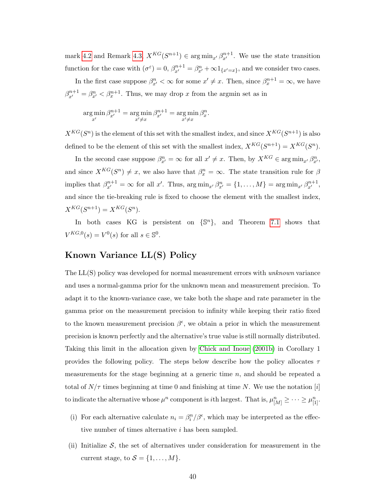<span id="page-39-0"></span>mark [4.2](#page-14-0) and Remark [4.3,](#page-14-1)  $X^{KG}(S^{n+1}) \in \arg \min_{x'} \beta_{x'}^{n+1}$ . We use the state transition function for the case with  $(\sigma^{\varepsilon}) = 0$ ,  $\beta_{x'}^{n+1} = \beta_{x'}^n + \infty \mathbb{1}_{\{x'=x\}}$ , and we consider two cases.

In the first case suppose  $\beta_{x'}^n < \infty$  for some  $x' \neq x$ . Then, since  $\beta_x^{n+1} = \infty$ , we have  $\beta_{x'}^{n+1} = \beta_{x'}^n < \beta_x^{n+1}$ . Thus, we may drop x from the argmin set as in

$$
\underset{x'}{\arg \min} \beta_{x'}^{n+1} = \underset{x' \neq x}{\arg \min} \beta_{x'}^{n+1} = \underset{x' \neq x}{\arg \min} \beta_x^n.
$$

 $X^{KG}(S^n)$  is the element of this set with the smallest index, and since  $X^{KG}(S^{n+1})$  is also defined to be the element of this set with the smallest index,  $X^{KG}(S^{n+1}) = X^{KG}(S^n)$ .

In the second case suppose  $\beta_{x'}^n = \infty$  for all  $x' \neq x$ . Then, by  $X^{KG} \in \arg\min_{x'} \beta_{x'}^n$ , and since  $X^{KG}(S^n) \neq x$ , we also have that  $\beta_x^n = \infty$ . The state transition rule for  $\beta$ implies that  $\beta_{x'}^{n+1} = \infty$  for all x'. Thus,  $\arg \min_{x'} \beta_{x'}^{n} = \{1, ..., M\} = \arg \min_{x'} \beta_{x'}^{n+1}$ , and since the tie-breaking rule is fixed to choose the element with the smallest index,  $X^{KG}(S^{n+1}) = X^{KG}(S^{n}).$ 

In both cases KG is persistent on  $\{\mathbb{S}^n\}$ , and Theorem [7.1](#page-19-1) shows that  $V^{KG,0}(s) = V^0(s)$  for all  $s \in \mathbb{S}^0$ .

### Known Variance LL(S) Policy

The LL(S) policy was developed for normal measurement errors with *unknown* variance and uses a normal-gamma prior for the unknown mean and measurement precision. To adapt it to the known-variance case, we take both the shape and rate parameter in the gamma prior on the measurement precision to infinity while keeping their ratio fixed to the known measurement precision  $\beta^{\epsilon}$ , we obtain a prior in which the measurement precision is known perfectly and the alternative's true value is still normally distributed. Taking this limit in the allocation given by [Chick and Inoue](#page-41-0) [\(2001b\)](#page-41-0) in Corollary 1 provides the following policy. The steps below describe how the policy allocates  $\tau$ measurements for the stage beginning at a generic time  $n$ , and should be repeated a total of  $N/\tau$  times beginning at time 0 and finishing at time N. We use the notation [i] to indicate the alternative whose  $\mu^n$  component is *i*th largest. That is,  $\mu_{[M]}^n \geq \cdots \geq \mu_{[1]}^n$ .

- (i) For each alternative calculate  $n_i = \beta_i^n/\beta^{\epsilon}$ , which may be interpreted as the effective number of times alternative i has been sampled.
- (ii) Initialize  $S$ , the set of alternatives under consideration for measurement in the current stage, to  $S = \{1, \ldots, M\}.$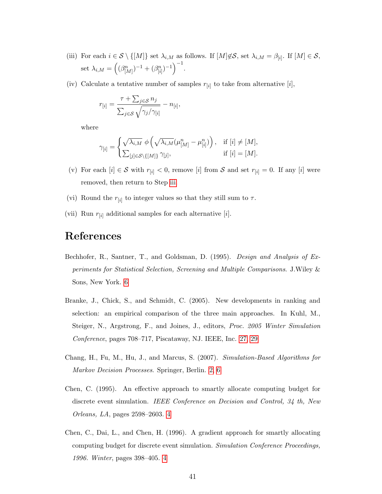- <span id="page-40-5"></span>(iii) For each  $i \in \mathcal{S} \setminus \{[M]\}\$  set  $\lambda_{i,M}$  as follows. If  $[M]\notin\mathcal{S}$ , set  $\lambda_{i,M} = \beta_{[i]}$ . If  $[M] \in \mathcal{S}$ , set  $\lambda_{i,M} = ((\beta_{[M]}^n)^{-1} + (\beta_{[i]}^n)^{-1})^{-1}.$
- (iv) Calculate a tentative number of samples  $r_{[i]}$  to take from alternative  $[i]$ ,

$$
r_{[i]} = \frac{\tau + \sum_{j \in S} n_j}{\sum_{j \in S} \sqrt{\gamma_j/\gamma_{[i]}}} - n_{[i]},
$$

where

$$
\gamma_{[i]} = \begin{cases} \sqrt{\lambda_{i,M}} \; \phi\left(\sqrt{\lambda_{i,M}}(\mu_{[M]}^n - \mu_{[i]}^n)\right), & \text{if } [i] \neq [M], \\ \sum_{[j] \in \mathcal{S} \setminus \{[M]\}} \gamma_{[j]}, & \text{if } [i] = [M]. \end{cases}
$$

- (v) For each  $[i] \in S$  with  $r_{[i]} < 0$ , remove  $[i]$  from S and set  $r_{[i]} = 0$ . If any  $[i]$  were removed, then return to Step [iii.](#page-40-5)
- (vi) Round the  $r_{[i]}$  to integer values so that they still sum to  $\tau$ .
- (vii) Run  $r_{[i]}$  additional samples for each alternative  $[i]$ .

### References

- <span id="page-40-3"></span>Bechhofer, R., Santner, T., and Goldsman, D. (1995). Design and Analysis of Experiments for Statistical Selection, Screening and Multiple Comparisons. J.Wiley & Sons, New York. [6](#page-5-2)
- <span id="page-40-4"></span>Branke, J., Chick, S., and Schmidt, C. (2005). New developments in ranking and selection: an empirical comparison of the three main approaches. In Kuhl, M., Steiger, N., Argstrong, F., and Joines, J., editors, Proc. 2005 Winter Simulation Conference, pages 708–717, Piscataway, NJ. IEEE, Inc. [27,](#page-26-1) [29](#page-28-0)
- <span id="page-40-0"></span>Chang, H., Fu, M., Hu, J., and Marcus, S. (2007). Simulation-Based Algorithms for Markov Decision Processes. Springer, Berlin. [2,](#page-1-0) [6](#page-5-2)
- <span id="page-40-1"></span>Chen, C. (1995). An effective approach to smartly allocate computing budget for discrete event simulation. IEEE Conference on Decision and Control, 34 th, New Orleans, LA, pages 2598–2603. [4](#page-3-1)
- <span id="page-40-2"></span>Chen, C., Dai, L., and Chen, H. (1996). A gradient approach for smartly allocating computing budget for discrete event simulation. Simulation Conference Proceedings, 1996. Winter, pages 398–405. [4](#page-3-1)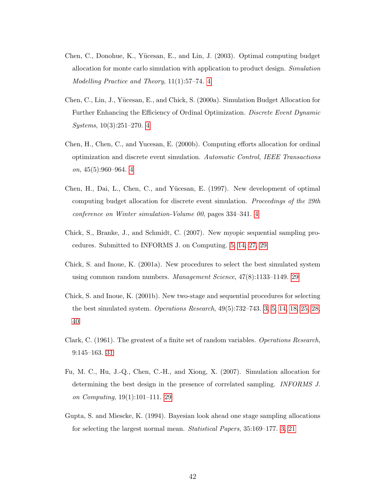- <span id="page-41-5"></span>Chen, C., Donohue, K., Yücesan, E., and Lin, J. (2003). Optimal computing budget allocation for monte carlo simulation with application to product design. Simulation Modelling Practice and Theory, 11(1):57–74. [4](#page-3-1)
- <span id="page-41-3"></span>Chen, C., Lin, J., Y¨ucesan, E., and Chick, S. (2000a). Simulation Budget Allocation for Further Enhancing the Efficiency of Ordinal Optimization. Discrete Event Dynamic Systems, 10(3):251–270. [4](#page-3-1)
- <span id="page-41-4"></span>Chen, H., Chen, C., and Yucesan, E. (2000b). Computing efforts allocation for ordinal optimization and discrete event simulation. Automatic Control, IEEE Transactions on, 45(5):960–964. [4](#page-3-1)
- <span id="page-41-2"></span>Chen, H., Dai, L., Chen, C., and Yücesan, E. (1997). New development of optimal computing budget allocation for discrete event simulation. Proceedings of the 29th conference on Winter simulation-Volume 00, pages 334–341. [4](#page-3-1)
- <span id="page-41-6"></span>Chick, S., Branke, J., and Schmidt, C. (2007). New myopic sequential sampling procedures. Submitted to INFORMS J. on Computing. [5,](#page-4-0) [14,](#page-13-4) [27,](#page-26-1) [29](#page-28-0)
- <span id="page-41-7"></span>Chick, S. and Inoue, K. (2001a). New procedures to select the best simulated system using common random numbers. Management Science, 47(8):1133–1149. [29](#page-28-0)
- <span id="page-41-0"></span>Chick, S. and Inoue, K. (2001b). New two-stage and sequential procedures for selecting the best simulated system. Operations Research, 49(5):732–743. [3,](#page-2-0) [5,](#page-4-0) [14,](#page-13-4) [18,](#page-17-1) [25,](#page-24-0) [28,](#page-27-0) [40](#page-39-0)
- <span id="page-41-9"></span>Clark, C. (1961). The greatest of a finite set of random variables. Operations Research, 9:145–163. [31](#page-30-2)
- <span id="page-41-8"></span>Fu, M. C., Hu, J.-Q., Chen, C.-H., and Xiong, X. (2007). Simulation allocation for determining the best design in the presence of correlated sampling. INFORMS J. on Computing, 19(1):101–111. [29](#page-28-0)
- <span id="page-41-1"></span>Gupta, S. and Miescke, K. (1994). Bayesian look ahead one stage sampling allocations for selecting the largest normal mean. Statistical Papers, 35:169–177. [3,](#page-2-0) [21](#page-20-1)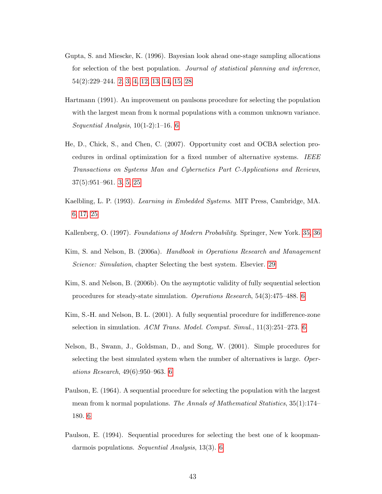- <span id="page-42-0"></span>Gupta, S. and Miescke, K. (1996). Bayesian look ahead one-stage sampling allocations for selection of the best population. Journal of statistical planning and inference, 54(2):229–244. [2,](#page-1-0) [3,](#page-2-0) [4,](#page-3-1) [12,](#page-11-3) [13,](#page-12-4) [14,](#page-13-4) [15,](#page-14-2) [28](#page-27-0)
- <span id="page-42-5"></span>Hartmann (1991). An improvement on paulsons procedure for selecting the population with the largest mean from k normal populations with a common unknown variance. Sequential Analysis, 10(1-2):1–16. [6](#page-5-2)
- <span id="page-42-1"></span>He, D., Chick, S., and Chen, C. (2007). Opportunity cost and OCBA selection procedures in ordinal optimization for a fixed number of alternative systems. IEEE Transactions on Systems Man and Cybernetics Part C-Applications and Reviews, 37(5):951–961. [3,](#page-2-0) [5,](#page-4-0) [25](#page-24-0)
- <span id="page-42-8"></span>Kaelbling, L. P. (1993). Learning in Embedded Systems. MIT Press, Cambridge, MA. [6,](#page-5-2) [17,](#page-16-1) [25](#page-24-0)
- <span id="page-42-10"></span>Kallenberg, O. (1997). Foundations of Modern Probability. Springer, New York. [35,](#page-34-0) [36](#page-35-2)
- <span id="page-42-9"></span>Kim, S. and Nelson, B. (2006a). Handbook in Operations Research and Management Science: Simulation, chapter Selecting the best system. Elsevier. [29](#page-28-0)
- <span id="page-42-3"></span>Kim, S. and Nelson, B. (2006b). On the asymptotic validity of fully sequential selection procedures for steady-state simulation. Operations Research, 54(3):475–488. [6](#page-5-2)
- <span id="page-42-2"></span>Kim, S.-H. and Nelson, B. L. (2001). A fully sequential procedure for indifference-zone selection in simulation. ACM Trans. Model. Comput. Simul., 11(3):251–273. [6](#page-5-2)
- <span id="page-42-7"></span>Nelson, B., Swann, J., Goldsman, D., and Song, W. (2001). Simple procedures for selecting the best simulated system when the number of alternatives is large. Operations Research, 49(6):950–963. [6](#page-5-2)
- <span id="page-42-4"></span>Paulson, E. (1964). A sequential procedure for selecting the population with the largest mean from k normal populations. The Annals of Mathematical Statistics, 35(1):174– 180. [6](#page-5-2)
- <span id="page-42-6"></span>Paulson, E. (1994). Sequential procedures for selecting the best one of k koopmandarmois populations. Sequential Analysis, 13(3). [6](#page-5-2)